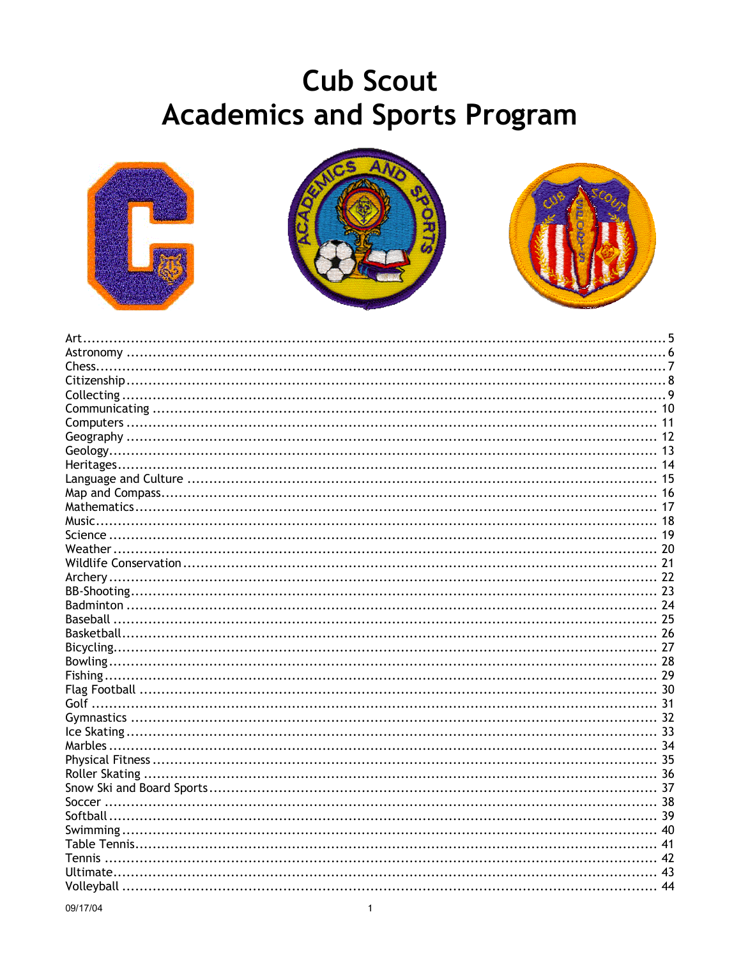# **Cub Scout Academics and Sports Program**







| Volleyball | 44 |
|------------|----|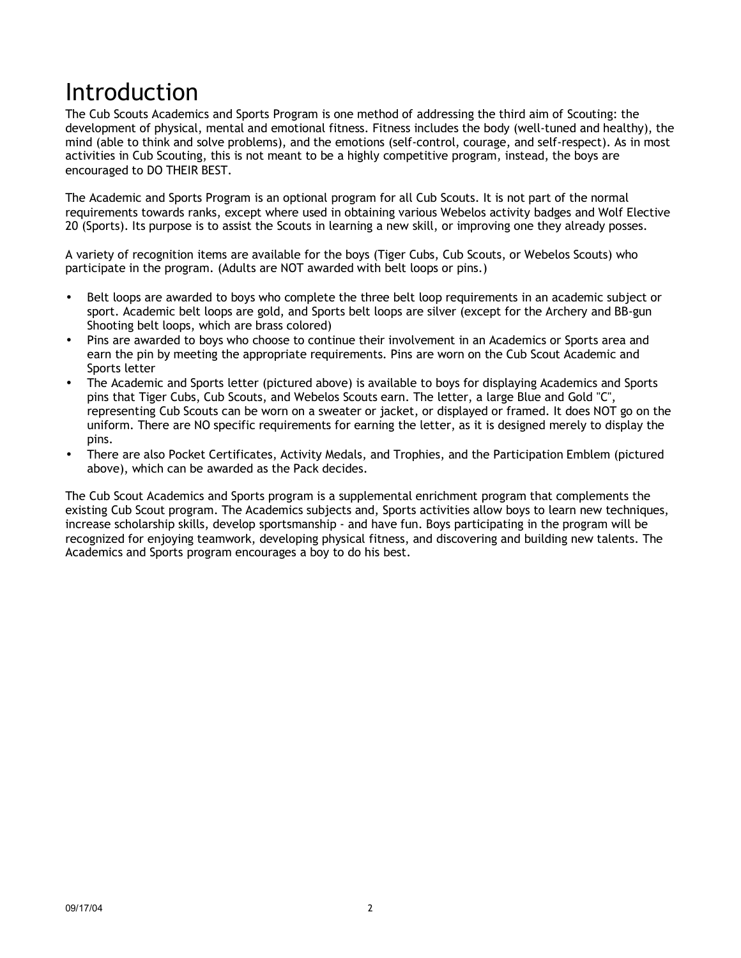# Introduction

The Cub Scouts Academics and Sports Program is one method of addressing the third aim of Scouting: the development of physical, mental and emotional fitness. Fitness includes the body (well-tuned and healthy), the mind (able to think and solve problems), and the emotions (self-control, courage, and self-respect). As in most activities in Cub Scouting, this is not meant to be a highly competitive program, instead, the boys are encouraged to DO THEIR BEST.

The Academic and Sports Program is an optional program for all Cub Scouts. It is not part of the normal requirements towards ranks, except where used in obtaining various Webelos activity badges and Wolf Elective 20 (Sports). Its purpose is to assist the Scouts in learning a new skill, or improving one they already posses.

A variety of recognition items are available for the boys (Tiger Cubs, Cub Scouts, or Webelos Scouts) who participate in the program. (Adults are NOT awarded with belt loops or pins.)

- Belt loops are awarded to boys who complete the three belt loop requirements in an academic subject or sport. Academic belt loops are gold, and Sports belt loops are silver (except for the Archery and BB-gun Shooting belt loops, which are brass colored)
- Pins are awarded to boys who choose to continue their involvement in an Academics or Sports area and earn the pin by meeting the appropriate requirements. Pins are worn on the Cub Scout Academic and Sports letter
- The Academic and Sports letter (pictured above) is available to boys for displaying Academics and Sports pins that Tiger Cubs, Cub Scouts, and Webelos Scouts earn. The letter, a large Blue and Gold "C", representing Cub Scouts can be worn on a sweater or jacket, or displayed or framed. It does NOT go on the uniform. There are NO specific requirements for earning the letter, as it is designed merely to display the pins.
- There are also Pocket Certificates, Activity Medals, and Trophies, and the Participation Emblem (pictured above), which can be awarded as the Pack decides.

The Cub Scout Academics and Sports program is a supplemental enrichment program that complements the existing Cub Scout program. The Academics subjects and, Sports activities allow boys to learn new techniques, increase scholarship skills, develop sportsmanship - and have fun. Boys participating in the program will be recognized for enjoying teamwork, developing physical fitness, and discovering and building new talents. The Academics and Sports program encourages a boy to do his best.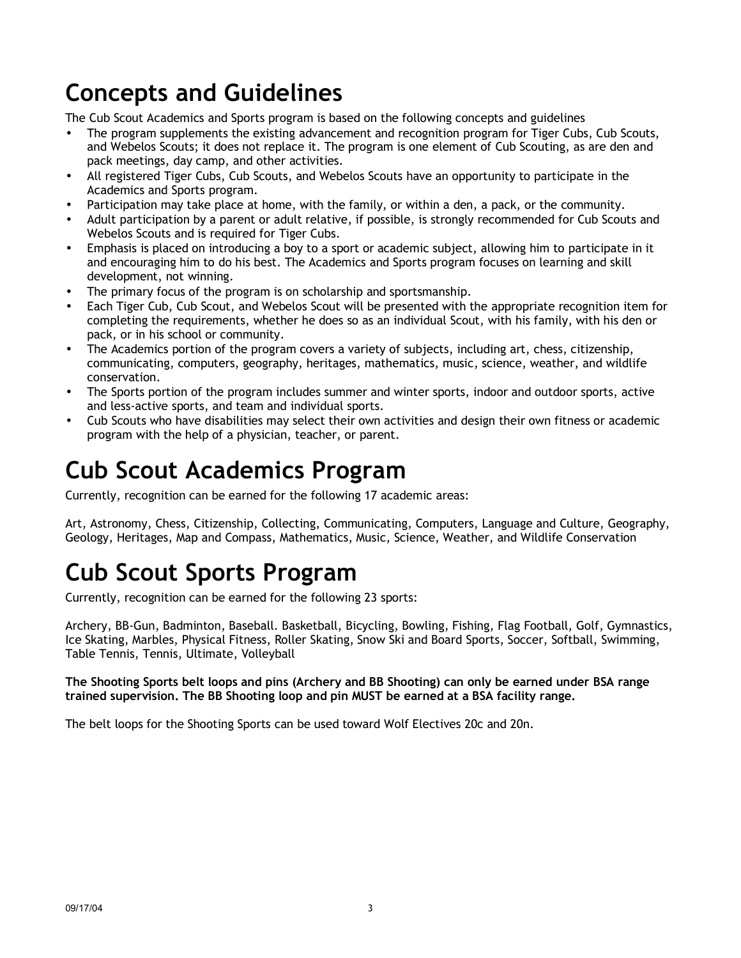# **Concepts and Guidelines**

The Cub Scout Academics and Sports program is based on the following concepts and guidelines

- The program supplements the existing advancement and recognition program for Tiger Cubs, Cub Scouts, and Webelos Scouts; it does not replace it. The program is one element of Cub Scouting, as are den and pack meetings, day camp, and other activities.
- All registered Tiger Cubs, Cub Scouts, and Webelos Scouts have an opportunity to participate in the Academics and Sports program.
- Participation may take place at home, with the family, or within a den, a pack, or the community.
- Adult participation by a parent or adult relative, if possible, is strongly recommended for Cub Scouts and Webelos Scouts and is required for Tiger Cubs.
- Emphasis is placed on introducing a boy to a sport or academic subject, allowing him to participate in it and encouraging him to do his best. The Academics and Sports program focuses on learning and skill development, not winning.
- The primary focus of the program is on scholarship and sportsmanship.
- Each Tiger Cub, Cub Scout, and Webelos Scout will be presented with the appropriate recognition item for completing the requirements, whether he does so as an individual Scout, with his family, with his den or pack, or in his school or community.
- The Academics portion of the program covers a variety of subjects, including art, chess, citizenship, communicating, computers, geography, heritages, mathematics, music, science, weather, and wildlife conservation.
- The Sports portion of the program includes summer and winter sports, indoor and outdoor sports, active and less-active sports, and team and individual sports.
- Cub Scouts who have disabilities may select their own activities and design their own fitness or academic program with the help of a physician, teacher, or parent.

## **Cub Scout Academics Program**

Currently, recognition can be earned for the following 17 academic areas:

Art, Astronomy, Chess, Citizenship, Collecting, Communicating, Computers, Language and Culture, Geography, Geology, Heritages, Map and Compass, Mathematics, Music, Science, Weather, and Wildlife Conservation

# **Cub Scout Sports Program**

Currently, recognition can be earned for the following 23 sports:

Archery, BB-Gun, Badminton, Baseball. Basketball, Bicycling, Bowling, Fishing, Flag Football, Golf, Gymnastics, Ice Skating, Marbles, Physical Fitness, Roller Skating, Snow Ski and Board Sports, Soccer, Softball, Swimming, Table Tennis, Tennis, Ultimate, Volleyball

### **The Shooting Sports belt loops and pins (Archery and BB Shooting) can only be earned under BSA range trained supervision. The BB Shooting loop and pin MUST be earned at a BSA facility range.**

The belt loops for the Shooting Sports can be used toward Wolf Electives 20c and 20n.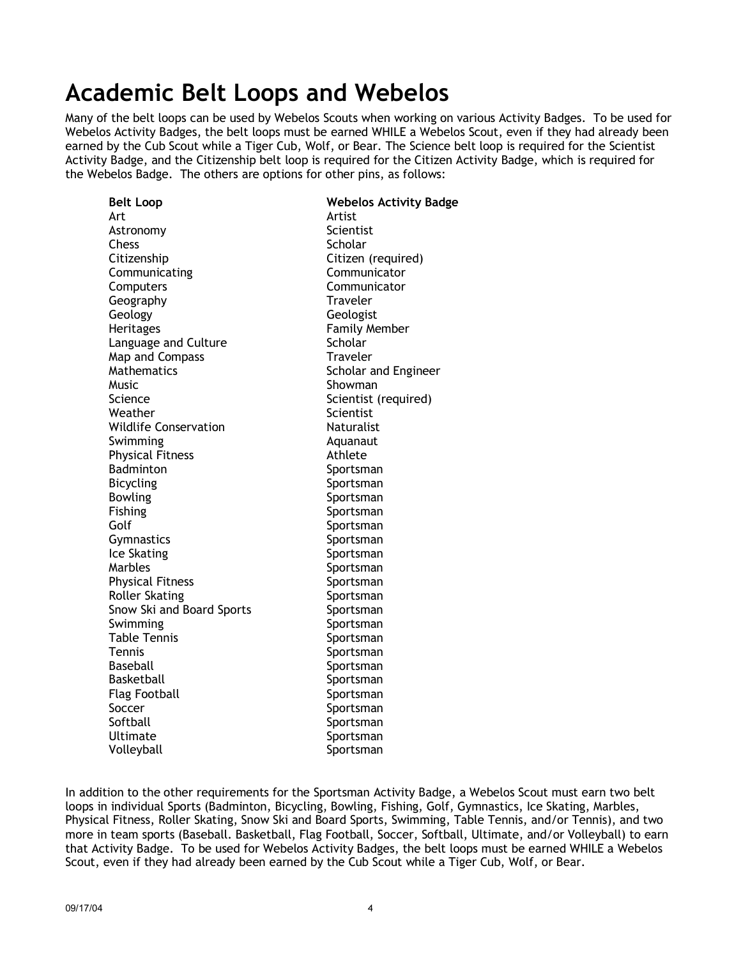## **Academic Belt Loops and Webelos**

Many of the belt loops can be used by Webelos Scouts when working on various Activity Badges. To be used for Webelos Activity Badges, the belt loops must be earned WHILE a Webelos Scout, even if they had already been earned by the Cub Scout while a Tiger Cub, Wolf, or Bear. The Science belt loop is required for the Scientist Activity Badge, and the Citizenship belt loop is required for the Citizen Activity Badge, which is required for the Webelos Badge. The others are options for other pins, as follows:

| <b>Belt Loop</b>             | <b>Webelos Activity Badge</b> |
|------------------------------|-------------------------------|
| Art                          | Artist                        |
| Astronomy                    | Scientist                     |
| <b>Chess</b>                 | Scholar                       |
| Citizenship                  | Citizen (required)            |
| Communicating                | Communicator                  |
| Computers                    | Communicator                  |
| Geography                    | Traveler                      |
| Geology                      | Geologist                     |
| <b>Heritages</b>             | <b>Family Member</b>          |
| Language and Culture         | Scholar                       |
| Map and Compass              | Traveler                      |
| Mathematics                  | Scholar and Engineer          |
| Music                        | Showman                       |
| Science                      | Scientist (required)          |
| Weather                      | Scientist                     |
| <b>Wildlife Conservation</b> | <b>Naturalist</b>             |
| Swimming                     | Aquanaut                      |
| <b>Physical Fitness</b>      | Athlete                       |
| Badminton                    | Sportsman                     |
| <b>Bicycling</b>             | Sportsman                     |
| <b>Bowling</b>               | Sportsman                     |
| Fishing                      | Sportsman                     |
| Golf                         | Sportsman                     |
| Gymnastics                   | Sportsman                     |
| Ice Skating                  | Sportsman                     |
| Marbles                      | Sportsman                     |
| <b>Physical Fitness</b>      | Sportsman                     |
| <b>Roller Skating</b>        | Sportsman                     |
| Snow Ski and Board Sports    | Sportsman                     |
| Swimming                     | Sportsman                     |
| Table Tennis                 | Sportsman                     |
| Tennis                       | Sportsman                     |
| Baseball                     | Sportsman                     |
| Basketball                   | Sportsman                     |
| <b>Flag Football</b>         | Sportsman                     |
| Soccer                       | Sportsman                     |
| Softball                     | Sportsman                     |
| Ultimate                     | Sportsman                     |
| Volleyball                   | Sportsman                     |

In addition to the other requirements for the Sportsman Activity Badge, a Webelos Scout must earn two belt loops in individual Sports (Badminton, Bicycling, Bowling, Fishing, Golf, Gymnastics, Ice Skating, Marbles, Physical Fitness, Roller Skating, Snow Ski and Board Sports, Swimming, Table Tennis, and/or Tennis), and two more in team sports (Baseball. Basketball, Flag Football, Soccer, Softball, Ultimate, and/or Volleyball) to earn that Activity Badge. To be used for Webelos Activity Badges, the belt loops must be earned WHILE a Webelos Scout, even if they had already been earned by the Cub Scout while a Tiger Cub, Wolf, or Bear.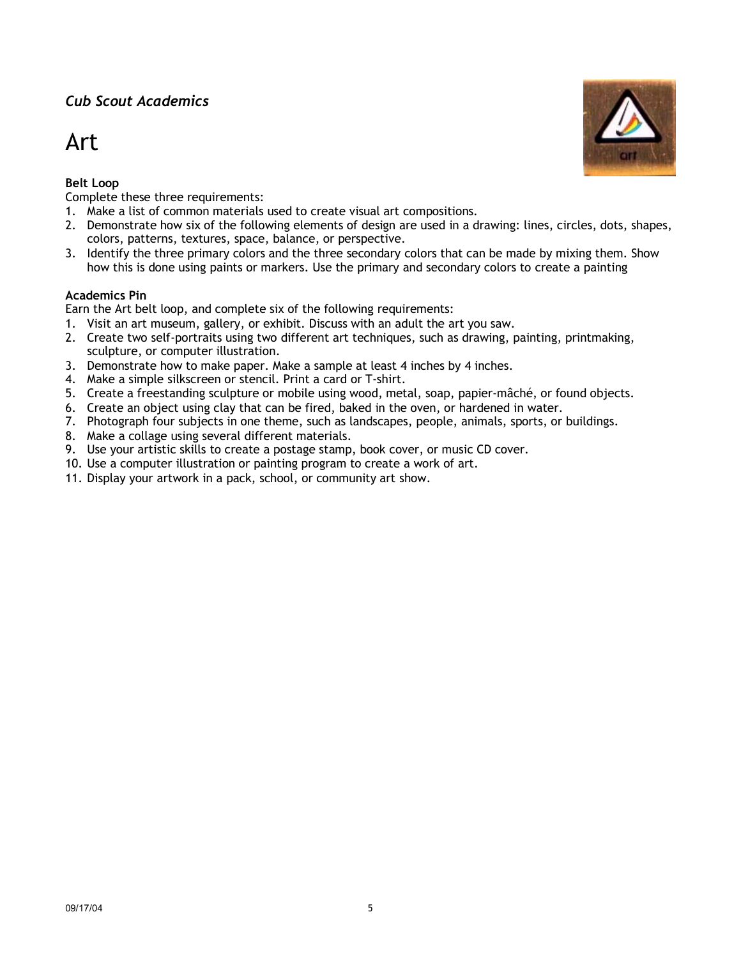## Art

## **Belt Loop**

Complete these three requirements:

- 1. Make a list of common materials used to create visual art compositions.
- 2. Demonstrate how six of the following elements of design are used in a drawing: lines, circles, dots, shapes, colors, patterns, textures, space, balance, or perspective.
- 3. Identify the three primary colors and the three secondary colors that can be made by mixing them. Show how this is done using paints or markers. Use the primary and secondary colors to create a painting

## **Academics Pin**

Earn the Art belt loop, and complete six of the following requirements:

- 1. Visit an art museum, gallery, or exhibit. Discuss with an adult the art you saw.
- 2. Create two self-portraits using two different art techniques, such as drawing, painting, printmaking, sculpture, or computer illustration.
- 3. Demonstrate how to make paper. Make a sample at least 4 inches by 4 inches.
- 4. Make a simple silkscreen or stencil. Print a card or T-shirt.
- 5. Create a freestanding sculpture or mobile using wood, metal, soap, papier-mâché, or found objects.
- 6. Create an object using clay that can be fired, baked in the oven, or hardened in water.
- 7. Photograph four subjects in one theme, such as landscapes, people, animals, sports, or buildings.
- 8. Make a collage using several different materials.
- 9. Use your artistic skills to create a postage stamp, book cover, or music CD cover.
- 10. Use a computer illustration or painting program to create a work of art.
- 11. Display your artwork in a pack, school, or community art show.

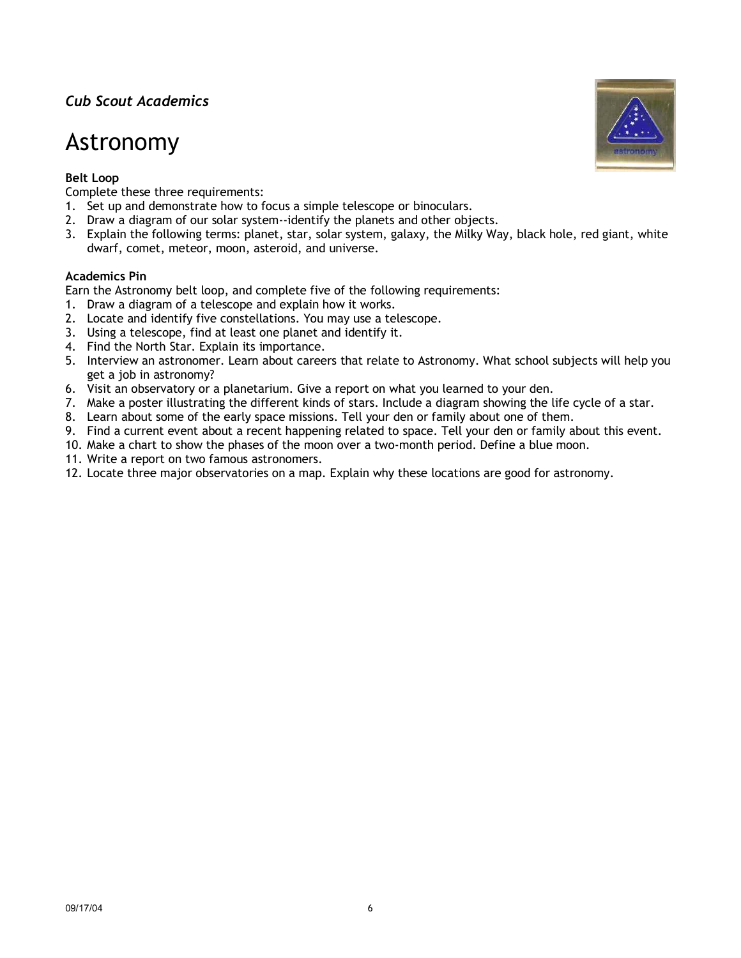## Astronomy

### **Belt Loop**

Complete these three requirements:

- 1. Set up and demonstrate how to focus a simple telescope or binoculars.
- 2. Draw a diagram of our solar system--identify the planets and other objects.
- 3. Explain the following terms: planet, star, solar system, galaxy, the Milky Way, black hole, red giant, white dwarf, comet, meteor, moon, asteroid, and universe.

#### **Academics Pin**

Earn the Astronomy belt loop, and complete five of the following requirements:

- 1. Draw a diagram of a telescope and explain how it works.
- 2. Locate and identify five constellations. You may use a telescope.
- 3. Using a telescope, find at least one planet and identify it.
- 4. Find the North Star. Explain its importance.
- 5. Interview an astronomer. Learn about careers that relate to Astronomy. What school subjects will help you get a job in astronomy?
- 6. Visit an observatory or a planetarium. Give a report on what you learned to your den.
- 7. Make a poster illustrating the different kinds of stars. Include a diagram showing the life cycle of a star.
- 8. Learn about some of the early space missions. Tell your den or family about one of them.
- 9. Find a current event about a recent happening related to space. Tell your den or family about this event.
- 10. Make a chart to show the phases of the moon over a two-month period. Define a blue moon.
- 11. Write a report on two famous astronomers.
- 12. Locate three major observatories on a map. Explain why these locations are good for astronomy.

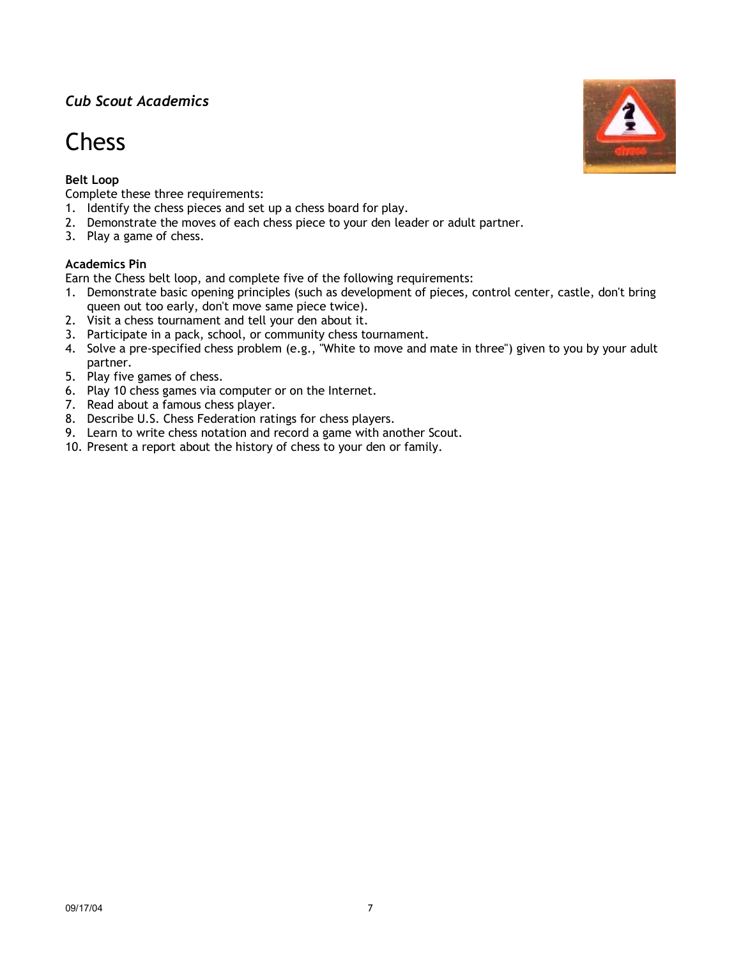## **Chess**

## **Belt Loop**

Complete these three requirements:

- 1. Identify the chess pieces and set up a chess board for play.
- 2. Demonstrate the moves of each chess piece to your den leader or adult partner.
- 3. Play a game of chess.

#### **Academics Pin**

Earn the Chess belt loop, and complete five of the following requirements:

- 1. Demonstrate basic opening principles (such as development of pieces, control center, castle, don't bring queen out too early, don't move same piece twice).
- 2. Visit a chess tournament and tell your den about it.
- 3. Participate in a pack, school, or community chess tournament.
- 4. Solve a pre-specified chess problem (e.g., "White to move and mate in three") given to you by your adult partner.
- 5. Play five games of chess.
- 6. Play 10 chess games via computer or on the Internet.
- 7. Read about a famous chess player.
- 8. Describe U.S. Chess Federation ratings for chess players.
- 9. Learn to write chess notation and record a game with another Scout.
- 10. Present a report about the history of chess to your den or family.

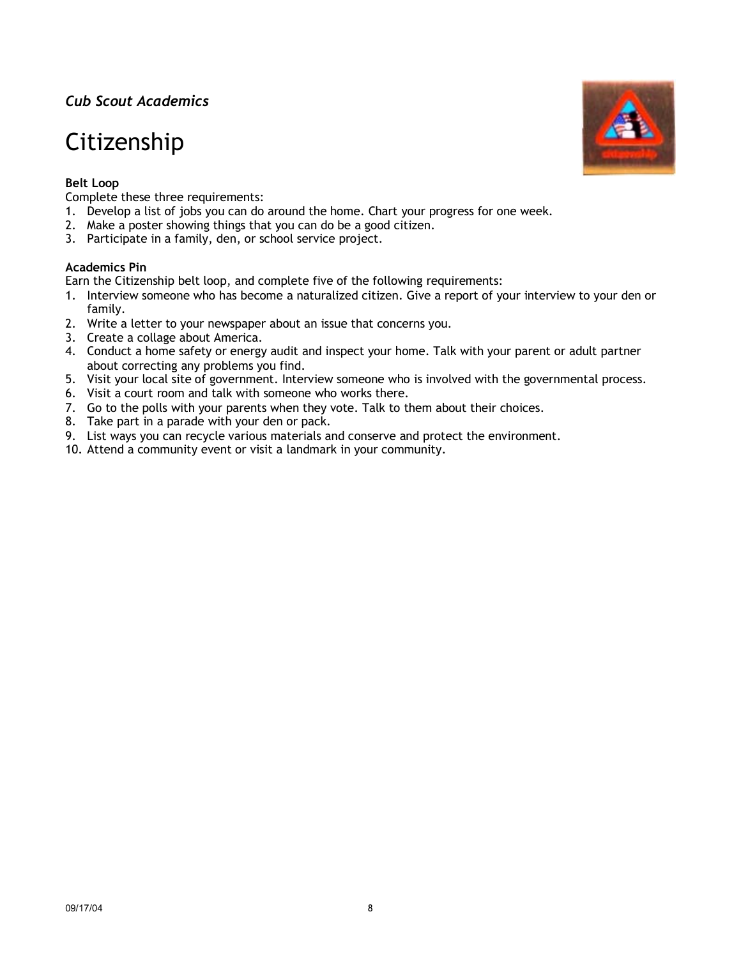## Citizenship

## **Belt Loop**

Complete these three requirements:

- 1. Develop a list of jobs you can do around the home. Chart your progress for one week.
- 2. Make a poster showing things that you can do be a good citizen.
- 3. Participate in a family, den, or school service project.

#### **Academics Pin**

Earn the Citizenship belt loop, and complete five of the following requirements:

- 1. Interview someone who has become a naturalized citizen. Give a report of your interview to your den or family.
- 2. Write a letter to your newspaper about an issue that concerns you.
- 3. Create a collage about America.
- 4. Conduct a home safety or energy audit and inspect your home. Talk with your parent or adult partner about correcting any problems you find.
- 5. Visit your local site of government. Interview someone who is involved with the governmental process.
- 6. Visit a court room and talk with someone who works there.
- 7. Go to the polls with your parents when they vote. Talk to them about their choices.
- 8. Take part in a parade with your den or pack.
- 9. List ways you can recycle various materials and conserve and protect the environment.
- 10. Attend a community event or visit a landmark in your community.

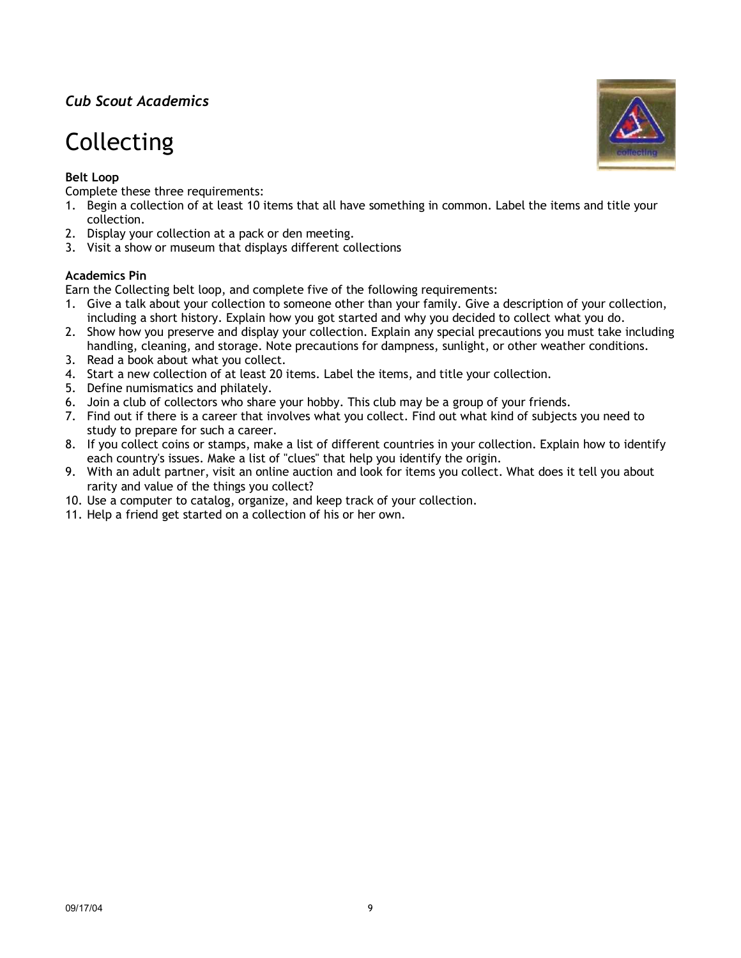# Collecting

## **Belt Loop**

Complete these three requirements:

- 1. Begin a collection of at least 10 items that all have something in common. Label the items and title your collection.
- 2. Display your collection at a pack or den meeting.
- 3. Visit a show or museum that displays different collections

## **Academics Pin**

Earn the Collecting belt loop, and complete five of the following requirements:

- 1. Give a talk about your collection to someone other than your family. Give a description of your collection, including a short history. Explain how you got started and why you decided to collect what you do.
- 2. Show how you preserve and display your collection. Explain any special precautions you must take including handling, cleaning, and storage. Note precautions for dampness, sunlight, or other weather conditions.
- 3. Read a book about what you collect.
- 4. Start a new collection of at least 20 items. Label the items, and title your collection.
- 5. Define numismatics and philately.
- 6. Join a club of collectors who share your hobby. This club may be a group of your friends.
- 7. Find out if there is a career that involves what you collect. Find out what kind of subjects you need to study to prepare for such a career.
- 8. If you collect coins or stamps, make a list of different countries in your collection. Explain how to identify each country's issues. Make a list of "clues" that help you identify the origin.
- 9. With an adult partner, visit an online auction and look for items you collect. What does it tell you about rarity and value of the things you collect?
- 10. Use a computer to catalog, organize, and keep track of your collection.
- 11. Help a friend get started on a collection of his or her own.

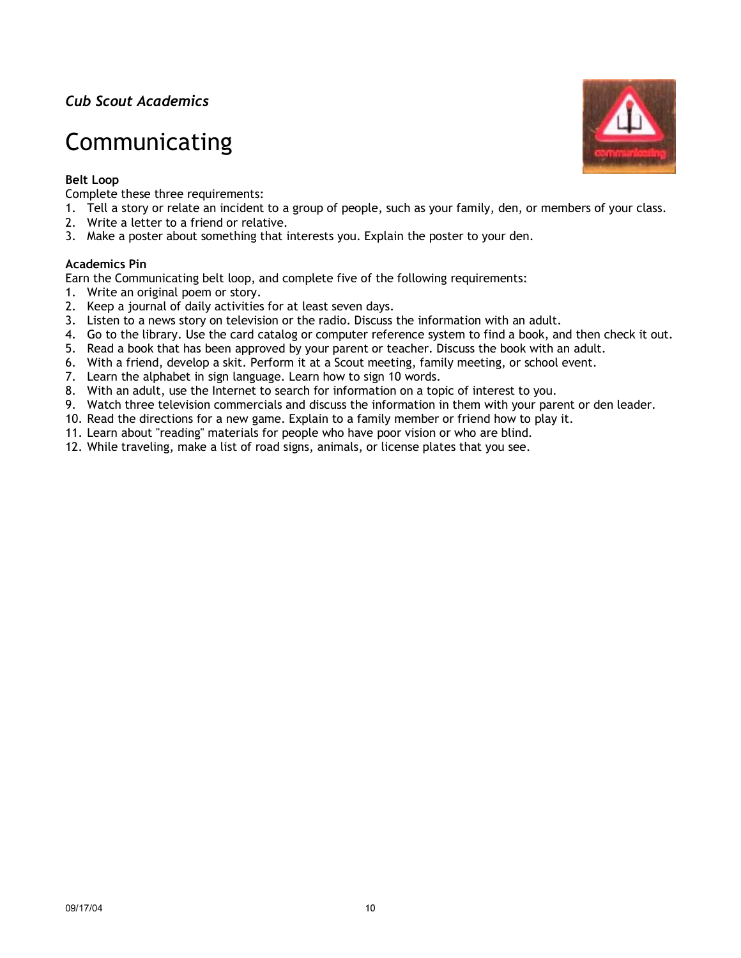# Communicating

### **Belt Loop**

Complete these three requirements:

- 1. Tell a story or relate an incident to a group of people, such as your family, den, or members of your class.
- 2. Write a letter to a friend or relative.
- 3. Make a poster about something that interests you. Explain the poster to your den.

### **Academics Pin**

Earn the Communicating belt loop, and complete five of the following requirements:

- 1. Write an original poem or story.
- 2. Keep a journal of daily activities for at least seven days.
- 3. Listen to a news story on television or the radio. Discuss the information with an adult.
- 4. Go to the library. Use the card catalog or computer reference system to find a book, and then check it out.
- 5. Read a book that has been approved by your parent or teacher. Discuss the book with an adult.
- 6. With a friend, develop a skit. Perform it at a Scout meeting, family meeting, or school event.
- 7. Learn the alphabet in sign language. Learn how to sign 10 words.
- 8. With an adult, use the Internet to search for information on a topic of interest to you.
- 9. Watch three television commercials and discuss the information in them with your parent or den leader.
- 10. Read the directions for a new game. Explain to a family member or friend how to play it.
- 11. Learn about "reading" materials for people who have poor vision or who are blind.
- 12. While traveling, make a list of road signs, animals, or license plates that you see.

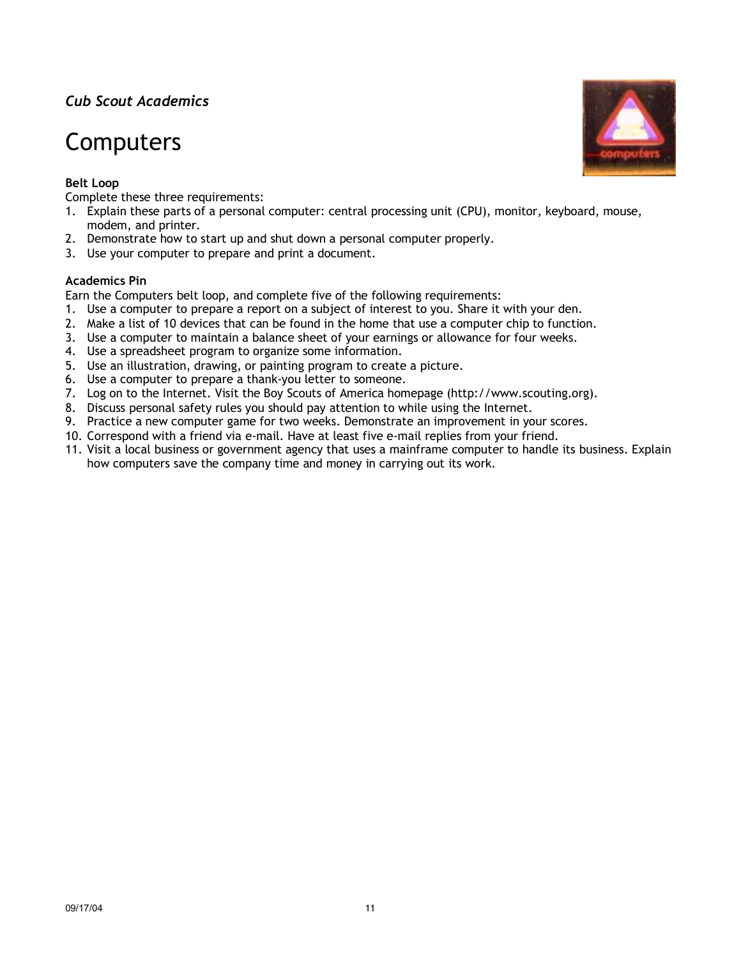## Computers

## **Belt Loop**

Complete these three requirements:

- 1. Explain these parts of a personal computer: central processing unit (CPU), monitor, keyboard, mouse, modem, and printer.
- 2. Demonstrate how to start up and shut down a personal computer properly.
- 3. Use your computer to prepare and print a document.

#### **Academics Pin**

Earn the Computers belt loop, and complete five of the following requirements:

- 1. Use a computer to prepare a report on a subject of interest to you. Share it with your den.
- 2. Make a list of 10 devices that can be found in the home that use a computer chip to function.
- 3. Use a computer to maintain a balance sheet of your earnings or allowance for four weeks.
- 4. Use a spreadsheet program to organize some information.
- 5. Use an illustration, drawing, or painting program to create a picture.
- 6. Use a computer to prepare a thank-you letter to someone.
- 7. Log on to the Internet. Visit the Boy Scouts of America homepage (http://www.scouting.org).
- 8. Discuss personal safety rules you should pay attention to while using the Internet.
- 9. Practice a new computer game for two weeks. Demonstrate an improvement in your scores.
- 10. Correspond with a friend via e-mail. Have at least five e-mail replies from your friend.
- 11. Visit a local business or government agency that uses a mainframe computer to handle its business. Explain how computers save the company time and money in carrying out its work.

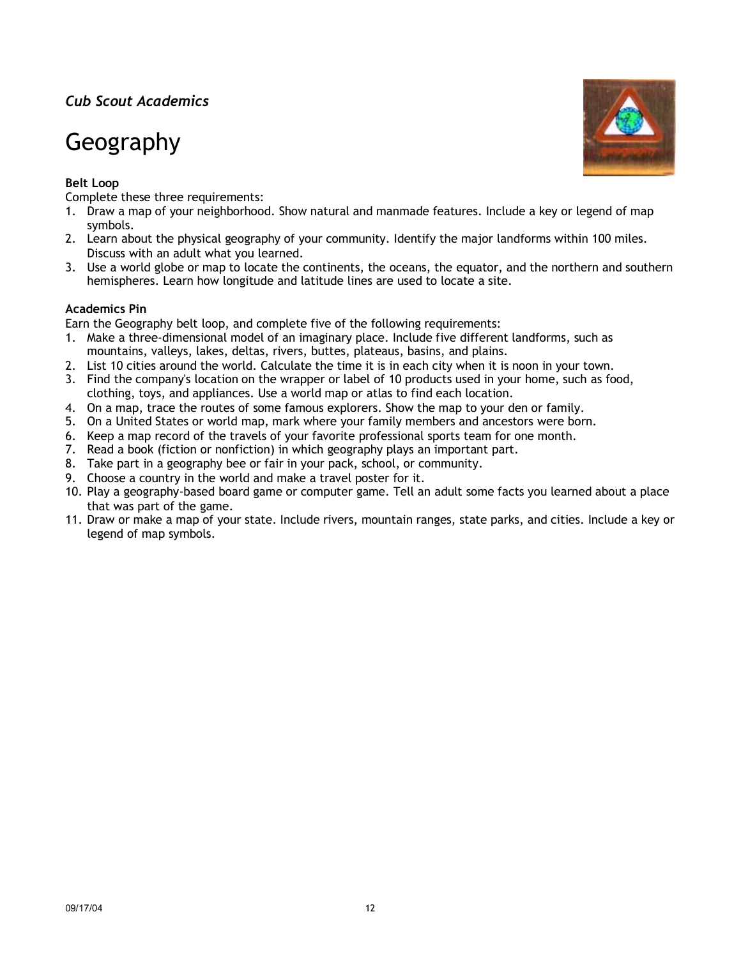# Geography

## **Belt Loop**

Complete these three requirements:

- 1. Draw a map of your neighborhood. Show natural and manmade features. Include a key or legend of map symbols.
- 2. Learn about the physical geography of your community. Identify the major landforms within 100 miles. Discuss with an adult what you learned.
- 3. Use a world globe or map to locate the continents, the oceans, the equator, and the northern and southern hemispheres. Learn how longitude and latitude lines are used to locate a site.

### **Academics Pin**

Earn the Geography belt loop, and complete five of the following requirements:

- 1. Make a three-dimensional model of an imaginary place. Include five different landforms, such as mountains, valleys, lakes, deltas, rivers, buttes, plateaus, basins, and plains.
- 2. List 10 cities around the world. Calculate the time it is in each city when it is noon in your town.
- 3. Find the company's location on the wrapper or label of 10 products used in your home, such as food, clothing, toys, and appliances. Use a world map or atlas to find each location.
- 4. On a map, trace the routes of some famous explorers. Show the map to your den or family.
- 5. On a United States or world map, mark where your family members and ancestors were born.
- 6. Keep a map record of the travels of your favorite professional sports team for one month.
- 7. Read a book (fiction or nonfiction) in which geography plays an important part.
- 8. Take part in a geography bee or fair in your pack, school, or community.
- 9. Choose a country in the world and make a travel poster for it.
- 10. Play a geography-based board game or computer game. Tell an adult some facts you learned about a place that was part of the game.
- 11. Draw or make a map of your state. Include rivers, mountain ranges, state parks, and cities. Include a key or legend of map symbols.

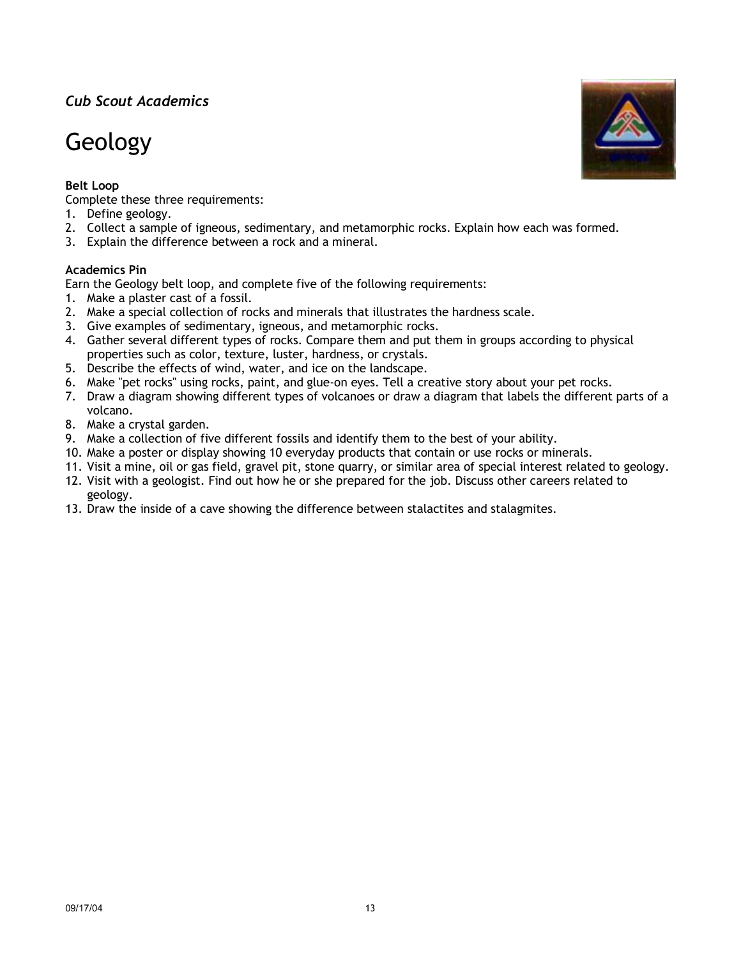# Geology

### **Belt Loop**

Complete these three requirements:

- 1. Define geology.
- 2. Collect a sample of igneous, sedimentary, and metamorphic rocks. Explain how each was formed.
- 3. Explain the difference between a rock and a mineral.

#### **Academics Pin**

Earn the Geology belt loop, and complete five of the following requirements:

- 1. Make a plaster cast of a fossil.
- 2. Make a special collection of rocks and minerals that illustrates the hardness scale.
- 3. Give examples of sedimentary, igneous, and metamorphic rocks.
- 4. Gather several different types of rocks. Compare them and put them in groups according to physical properties such as color, texture, luster, hardness, or crystals.
- 5. Describe the effects of wind, water, and ice on the landscape.
- 6. Make "pet rocks" using rocks, paint, and glue-on eyes. Tell a creative story about your pet rocks.
- 7. Draw a diagram showing different types of volcanoes or draw a diagram that labels the different parts of a volcano.
- 8. Make a crystal garden.
- 9. Make a collection of five different fossils and identify them to the best of your ability.
- 10. Make a poster or display showing 10 everyday products that contain or use rocks or minerals.
- 11. Visit a mine, oil or gas field, gravel pit, stone quarry, or similar area of special interest related to geology.
- 12. Visit with a geologist. Find out how he or she prepared for the job. Discuss other careers related to geology.
- 13. Draw the inside of a cave showing the difference between stalactites and stalagmites.

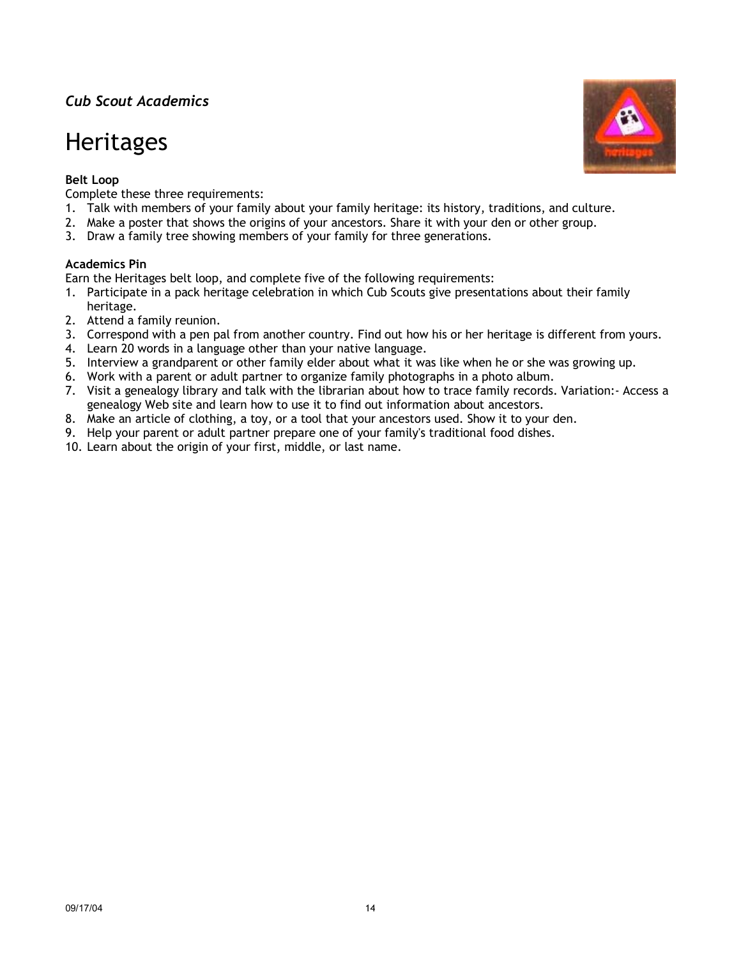## **Heritages**

## **Belt Loop**

Complete these three requirements:

- 1. Talk with members of your family about your family heritage: its history, traditions, and culture.
- 2. Make a poster that shows the origins of your ancestors. Share it with your den or other group.
- 3. Draw a family tree showing members of your family for three generations.

### **Academics Pin**

Earn the Heritages belt loop, and complete five of the following requirements:

- 1. Participate in a pack heritage celebration in which Cub Scouts give presentations about their family heritage.
- 2. Attend a family reunion.
- 3. Correspond with a pen pal from another country. Find out how his or her heritage is different from yours.
- 4. Learn 20 words in a language other than your native language.
- 5. Interview a grandparent or other family elder about what it was like when he or she was growing up.
- 6. Work with a parent or adult partner to organize family photographs in a photo album.
- 7. Visit a genealogy library and talk with the librarian about how to trace family records. Variation:- Access a genealogy Web site and learn how to use it to find out information about ancestors.
- 8. Make an article of clothing, a toy, or a tool that your ancestors used. Show it to your den.
- 9. Help your parent or adult partner prepare one of your family's traditional food dishes.
- 10. Learn about the origin of your first, middle, or last name.

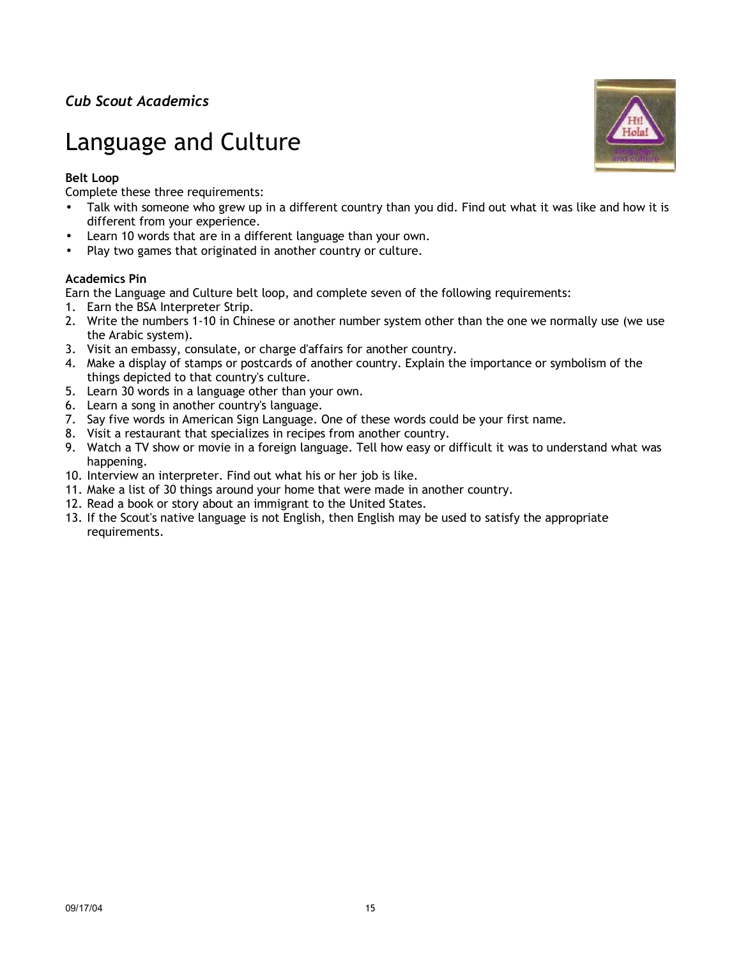# Language and Culture

## **Belt Loop**

Complete these three requirements:

- Talk with someone who grew up in a different country than you did. Find out what it was like and how it is different from your experience.
- Learn 10 words that are in a different language than your own.
- Play two games that originated in another country or culture.

### **Academics Pin**

Earn the Language and Culture belt loop, and complete seven of the following requirements:

- 1. Earn the BSA Interpreter Strip.
- 2. Write the numbers 1-10 in Chinese or another number system other than the one we normally use (we use the Arabic system).
- 3. Visit an embassy, consulate, or charge d'affairs for another country.
- 4. Make a display of stamps or postcards of another country. Explain the importance or symbolism of the things depicted to that country's culture.
- 5. Learn 30 words in a language other than your own.
- 6. Learn a song in another country's language.
- 7. Say five words in American Sign Language. One of these words could be your first name.
- 8. Visit a restaurant that specializes in recipes from another country.
- 9. Watch a TV show or movie in a foreign language. Tell how easy or difficult it was to understand what was happening.
- 10. Interview an interpreter. Find out what his or her job is like.
- 11. Make a list of 30 things around your home that were made in another country.
- 12. Read a book or story about an immigrant to the United States.
- 13. If the Scout's native language is not English, then English may be used to satisfy the appropriate requirements.

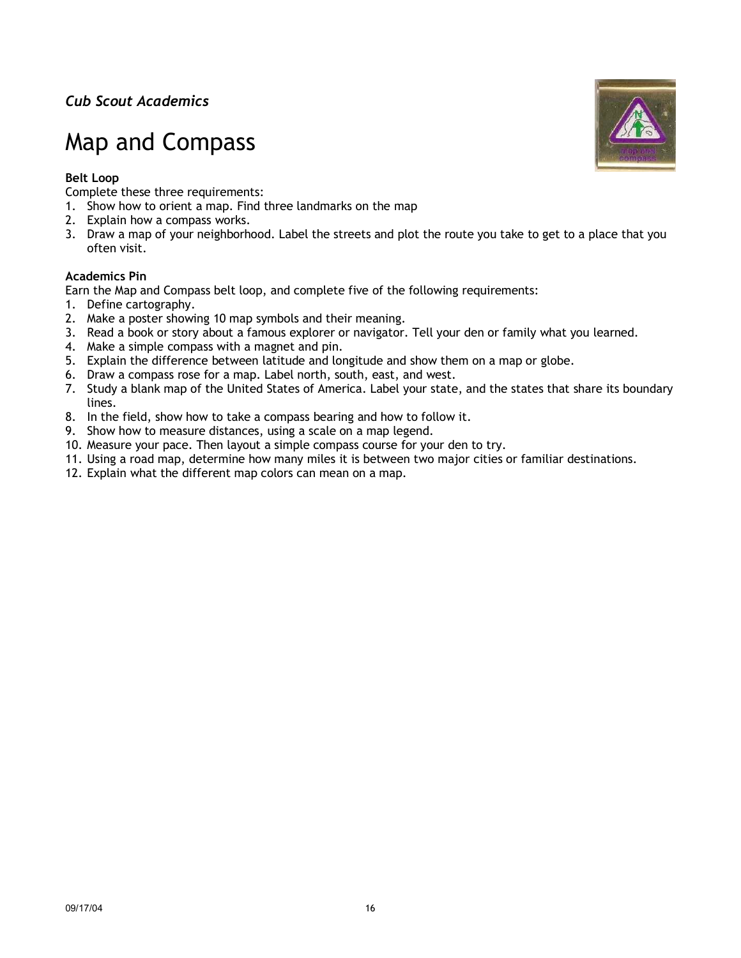# Map and Compass

### **Belt Loop**

Complete these three requirements:

- 1. Show how to orient a map. Find three landmarks on the map
- 2. Explain how a compass works.
- 3. Draw a map of your neighborhood. Label the streets and plot the route you take to get to a place that you often visit.

#### **Academics Pin**

Earn the Map and Compass belt loop, and complete five of the following requirements:

- 1. Define cartography.
- 2. Make a poster showing 10 map symbols and their meaning.
- 3. Read a book or story about a famous explorer or navigator. Tell your den or family what you learned.
- 4. Make a simple compass with a magnet and pin.
- 5. Explain the difference between latitude and longitude and show them on a map or globe.
- 6. Draw a compass rose for a map. Label north, south, east, and west.
- 7. Study a blank map of the United States of America. Label your state, and the states that share its boundary lines.
- 8. In the field, show how to take a compass bearing and how to follow it.
- 9. Show how to measure distances, using a scale on a map legend.
- 10. Measure your pace. Then layout a simple compass course for your den to try.
- 11. Using a road map, determine how many miles it is between two major cities or familiar destinations.
- 12. Explain what the different map colors can mean on a map.

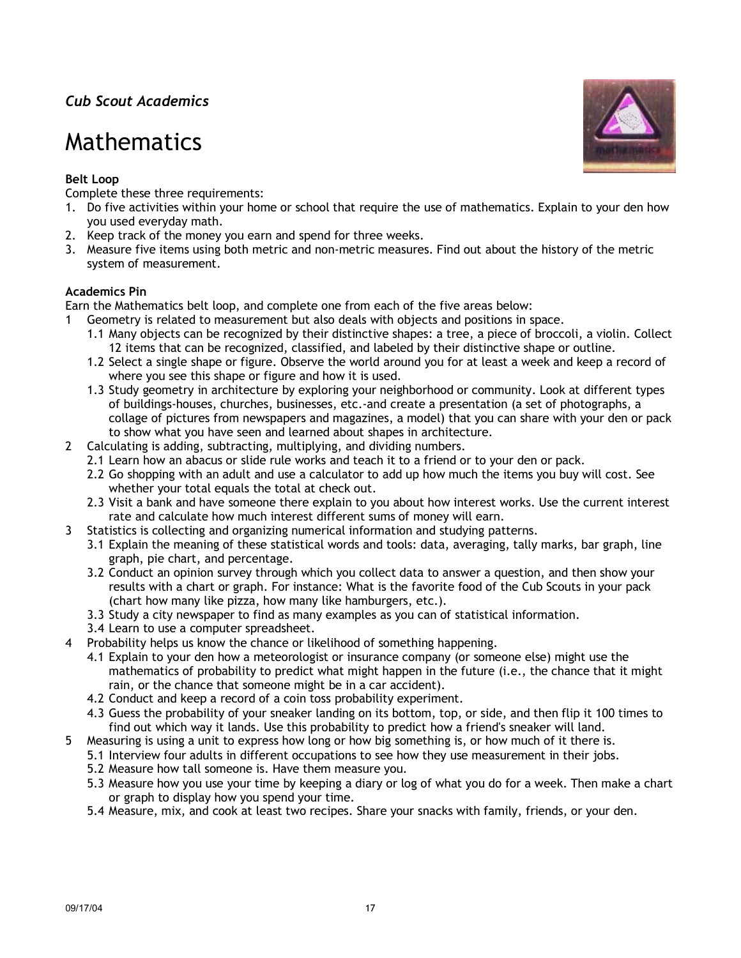## Mathematics

## **Belt Loop**

Complete these three requirements:

- 1. Do five activities within your home or school that require the use of mathematics. Explain to your den how you used everyday math.
- 2. Keep track of the money you earn and spend for three weeks.
- 3. Measure five items using both metric and non-metric measures. Find out about the history of the metric system of measurement.

## **Academics Pin**

Earn the Mathematics belt loop, and complete one from each of the five areas below:

- Geometry is related to measurement but also deals with objects and positions in space.
	- 1.1 Many objects can be recognized by their distinctive shapes: a tree, a piece of broccoli, a violin. Collect 12 items that can be recognized, classified, and labeled by their distinctive shape or outline.
	- 1.2 Select a single shape or figure. Observe the world around you for at least a week and keep a record of where you see this shape or figure and how it is used.
	- 1.3 Study geometry in architecture by exploring your neighborhood or community. Look at different types of buildings-houses, churches, businesses, etc.-and create a presentation (a set of photographs, a collage of pictures from newspapers and magazines, a model) that you can share with your den or pack to show what you have seen and learned about shapes in architecture.
- 2 Calculating is adding, subtracting, multiplying, and dividing numbers.
	- 2.1 Learn how an abacus or slide rule works and teach it to a friend or to your den or pack.
	- 2.2 Go shopping with an adult and use a calculator to add up how much the items you buy will cost. See whether your total equals the total at check out.
	- 2.3 Visit a bank and have someone there explain to you about how interest works. Use the current interest rate and calculate how much interest different sums of money will earn.
- 3 Statistics is collecting and organizing numerical information and studying patterns.
	- 3.1 Explain the meaning of these statistical words and tools: data, averaging, tally marks, bar graph, line graph, pie chart, and percentage.
	- 3.2 Conduct an opinion survey through which you collect data to answer a question, and then show your results with a chart or graph. For instance: What is the favorite food of the Cub Scouts in your pack (chart how many like pizza, how many like hamburgers, etc.).
	- 3.3 Study a city newspaper to find as many examples as you can of statistical information.
	- 3.4 Learn to use a computer spreadsheet.
- 4 Probability helps us know the chance or likelihood of something happening.
	- 4.1 Explain to your den how a meteorologist or insurance company (or someone else) might use the mathematics of probability to predict what might happen in the future (i.e., the chance that it might rain, or the chance that someone might be in a car accident).
	- 4.2 Conduct and keep a record of a coin toss probability experiment.
	- 4.3 Guess the probability of your sneaker landing on its bottom, top, or side, and then flip it 100 times to find out which way it lands. Use this probability to predict how a friend's sneaker will land.
- 5 Measuring is using a unit to express how long or how big something is, or how much of it there is.
	- 5.1 Interview four adults in different occupations to see how they use measurement in their jobs.
	- 5.2 Measure how tall someone is. Have them measure you.
	- 5.3 Measure how you use your time by keeping a diary or log of what you do for a week. Then make a chart or graph to display how you spend your time.
	- 5.4 Measure, mix, and cook at least two recipes. Share your snacks with family, friends, or your den.

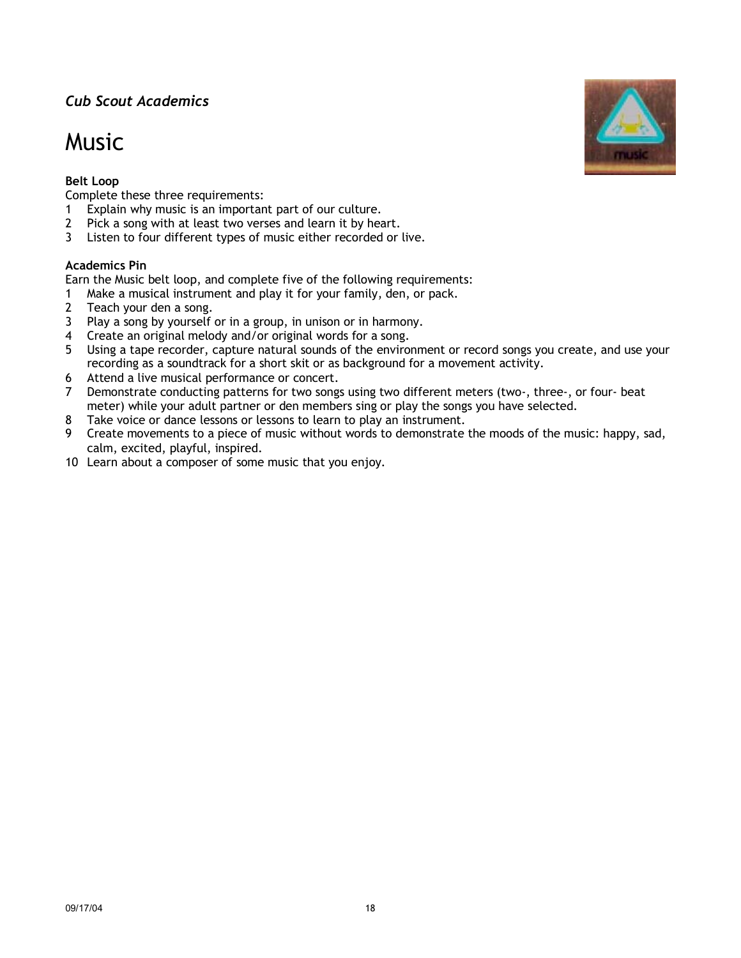## Music



Complete these three requirements:

- 1 Explain why music is an important part of our culture.
- 2 Pick a song with at least two verses and learn it by heart.
- 3 Listen to four different types of music either recorded or live.

#### **Academics Pin**

Earn the Music belt loop, and complete five of the following requirements:

- 1 Make a musical instrument and play it for your family, den, or pack.
- 2 Teach your den a song.
- 3 Play a song by yourself or in a group, in unison or in harmony.
- 4 Create an original melody and/or original words for a song.
- 5 Using a tape recorder, capture natural sounds of the environment or record songs you create, and use your recording as a soundtrack for a short skit or as background for a movement activity.
- 6 Attend a live musical performance or concert.
- 7 Demonstrate conducting patterns for two songs using two different meters (two-, three-, or four- beat meter) while your adult partner or den members sing or play the songs you have selected.
- 8 Take voice or dance lessons or lessons to learn to play an instrument.
- 9 Create movements to a piece of music without words to demonstrate the moods of the music: happy, sad, calm, excited, playful, inspired.
- 10 Learn about a composer of some music that you enjoy.

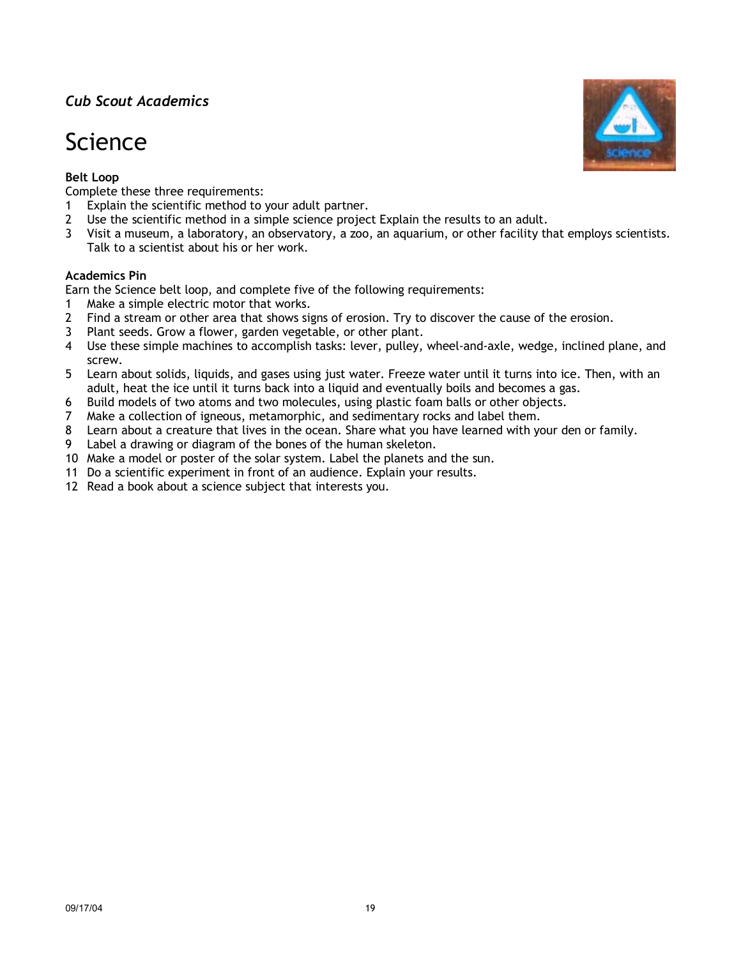# Science

## **Belt Loop**

Complete these three requirements:

- 1 Explain the scientific method to your adult partner.
- 2 Use the scientific method in a simple science project Explain the results to an adult.
- 3 Visit a museum, a laboratory, an observatory, a zoo, an aquarium, or other facility that employs scientists. Talk to a scientist about his or her work.

### **Academics Pin**

Earn the Science belt loop, and complete five of the following requirements:

- 1 Make a simple electric motor that works.
- 2 Find a stream or other area that shows signs of erosion. Try to discover the cause of the erosion.
- 3 Plant seeds. Grow a flower, garden vegetable, or other plant.
- 4 Use these simple machines to accomplish tasks: lever, pulley, wheel-and-axle, wedge, inclined plane, and screw.
- 5 Learn about solids, liquids, and gases using just water. Freeze water until it turns into ice. Then, with an adult, heat the ice until it turns back into a liquid and eventually boils and becomes a gas.
- 6 Build models of two atoms and two molecules, using plastic foam balls or other objects.
- 7 Make a collection of igneous, metamorphic, and sedimentary rocks and label them.
- 8 Learn about a creature that lives in the ocean. Share what you have learned with your den or family.
- 9 Label a drawing or diagram of the bones of the human skeleton.
- 10 Make a model or poster of the solar system. Label the planets and the sun.
- 11 Do a scientific experiment in front of an audience. Explain your results.
- 12 Read a book about a science subject that interests you.

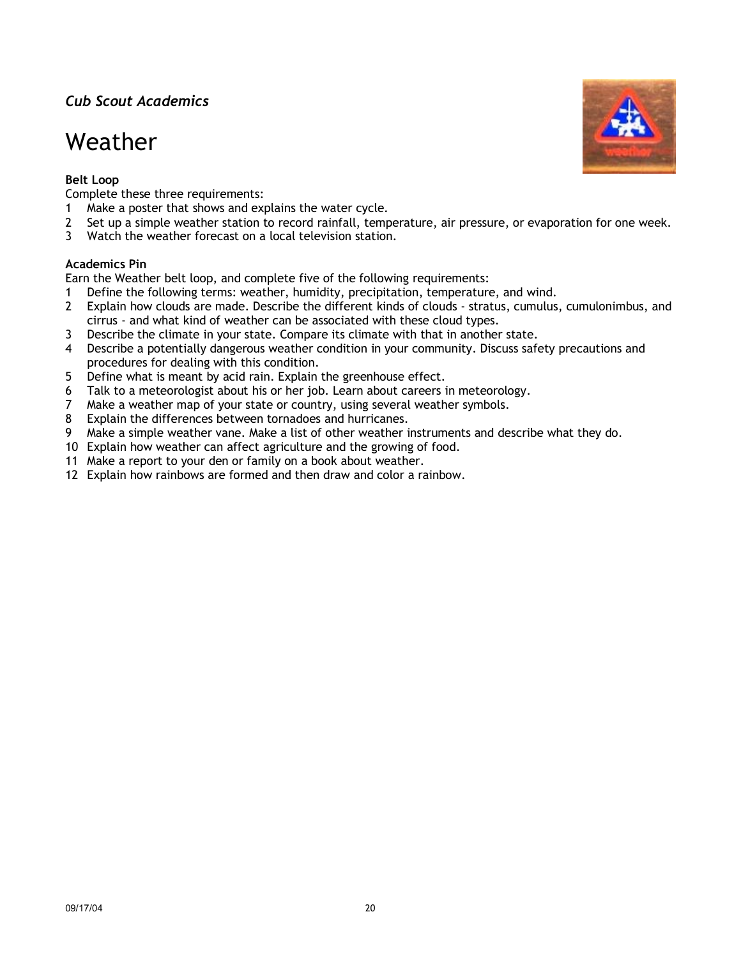## Weather

## **Belt Loop**

Complete these three requirements:

- 1 Make a poster that shows and explains the water cycle.
- 2 Set up a simple weather station to record rainfall, temperature, air pressure, or evaporation for one week.
- 3 Watch the weather forecast on a local television station.

### **Academics Pin**

Earn the Weather belt loop, and complete five of the following requirements:

- 1 Define the following terms: weather, humidity, precipitation, temperature, and wind.
- 2 Explain how clouds are made. Describe the different kinds of clouds stratus, cumulus, cumulonimbus, and cirrus - and what kind of weather can be associated with these cloud types.
- 3 Describe the climate in your state. Compare its climate with that in another state.
- 4 Describe a potentially dangerous weather condition in your community. Discuss safety precautions and procedures for dealing with this condition.
- 5 Define what is meant by acid rain. Explain the greenhouse effect.
- 6 Talk to a meteorologist about his or her job. Learn about careers in meteorology.
- 7 Make a weather map of your state or country, using several weather symbols.
- 8 Explain the differences between tornadoes and hurricanes.
- 9 Make a simple weather vane. Make a list of other weather instruments and describe what they do.
- 10 Explain how weather can affect agriculture and the growing of food.
- 11 Make a report to your den or family on a book about weather.
- 12 Explain how rainbows are formed and then draw and color a rainbow.

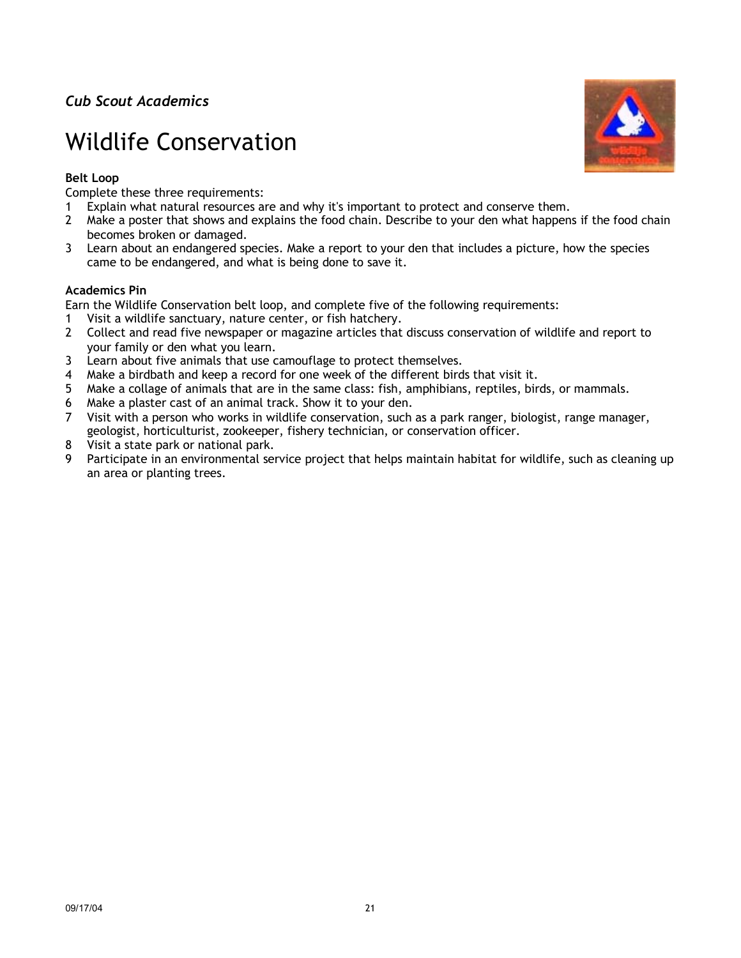# Wildlife Conservation

### **Belt Loop**

Complete these three requirements:

- 1 Explain what natural resources are and why it's important to protect and conserve them.
- 2 Make a poster that shows and explains the food chain. Describe to your den what happens if the food chain becomes broken or damaged.
- 3 Learn about an endangered species. Make a report to your den that includes a picture, how the species came to be endangered, and what is being done to save it.

#### **Academics Pin**

Earn the Wildlife Conservation belt loop, and complete five of the following requirements:

- 1 Visit a wildlife sanctuary, nature center, or fish hatchery.
- 2 Collect and read five newspaper or magazine articles that discuss conservation of wildlife and report to your family or den what you learn.
- 3 Learn about five animals that use camouflage to protect themselves.
- 4 Make a birdbath and keep a record for one week of the different birds that visit it.
- 5 Make a collage of animals that are in the same class: fish, amphibians, reptiles, birds, or mammals.
- 6 Make a plaster cast of an animal track. Show it to your den.
- 7 Visit with a person who works in wildlife conservation, such as a park ranger, biologist, range manager, geologist, horticulturist, zookeeper, fishery technician, or conservation officer.
- 8 Visit a state park or national park.
- 9 Participate in an environmental service project that helps maintain habitat for wildlife, such as cleaning up an area or planting trees.

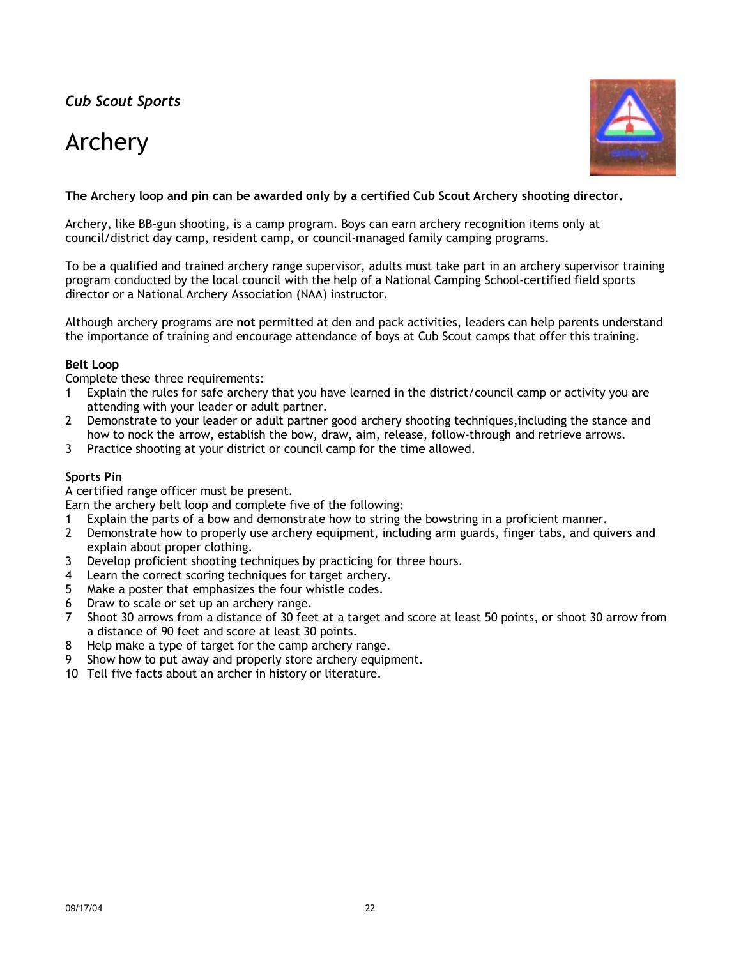# Archery



### **The Archery loop and pin can be awarded only by a certified Cub Scout Archery shooting director.**

Archery, like BB-gun shooting, is a camp program. Boys can earn archery recognition items only at council/district day camp, resident camp, or council-managed family camping programs.

To be a qualified and trained archery range supervisor, adults must take part in an archery supervisor training program conducted by the local council with the help of a National Camping School-certified field sports director or a National Archery Association (NAA) instructor.

Although archery programs are **not** permitted at den and pack activities, leaders can help parents understand the importance of training and encourage attendance of boys at Cub Scout camps that offer this training.

#### **Belt Loop**

Complete these three requirements:

- 1 Explain the rules for safe archery that you have learned in the district/council camp or activity you are attending with your leader or adult partner.
- 2 Demonstrate to your leader or adult partner good archery shooting techniques,including the stance and how to nock the arrow, establish the bow, draw, aim, release, follow-through and retrieve arrows.
- 3 Practice shooting at your district or council camp for the time allowed.

#### **Sports Pin**

A certified range officer must be present.

Earn the archery belt loop and complete five of the following:

- 1 Explain the parts of a bow and demonstrate how to string the bowstring in a proficient manner.
- 2 Demonstrate how to properly use archery equipment, including arm guards, finger tabs, and quivers and explain about proper clothing.
- 3 Develop proficient shooting techniques by practicing for three hours.
- 4 Learn the correct scoring techniques for target archery.
- 5 Make a poster that emphasizes the four whistle codes.
- 6 Draw to scale or set up an archery range.
- 7 Shoot 30 arrows from a distance of 30 feet at a target and score at least 50 points, or shoot 30 arrow from a distance of 90 feet and score at least 30 points.
- 8 Help make a type of target for the camp archery range.
- 9 Show how to put away and properly store archery equipment.
- 10 Tell five facts about an archer in history or literature.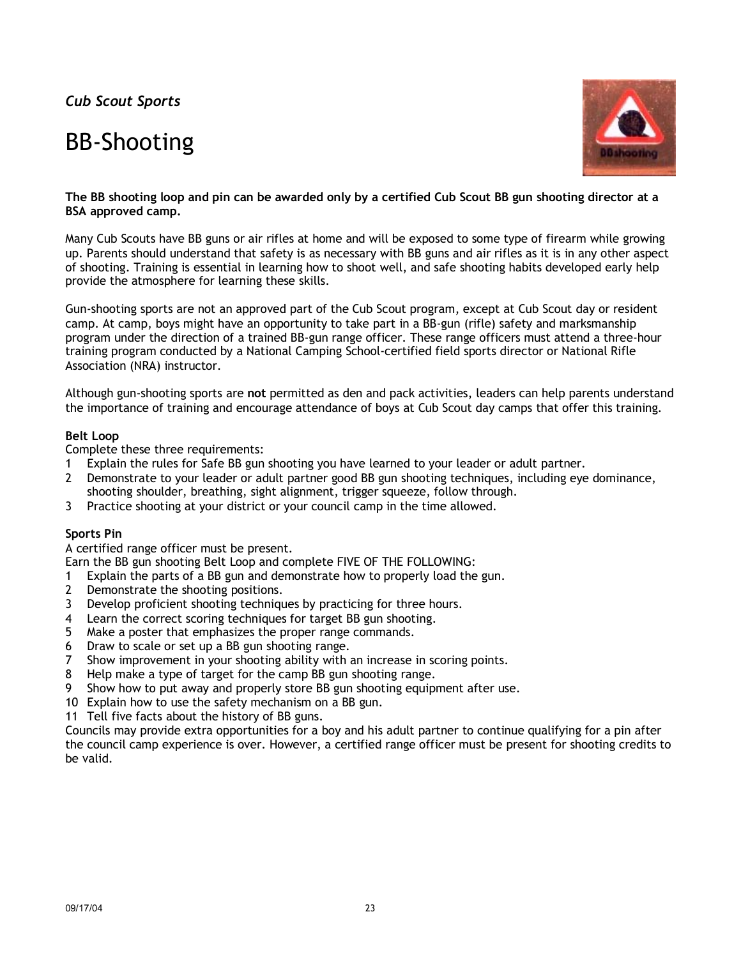## BB-Shooting



#### **The BB shooting loop and pin can be awarded only by a certified Cub Scout BB gun shooting director at a BSA approved camp.**

Many Cub Scouts have BB guns or air rifles at home and will be exposed to some type of firearm while growing up. Parents should understand that safety is as necessary with BB guns and air rifles as it is in any other aspect of shooting. Training is essential in learning how to shoot well, and safe shooting habits developed early help provide the atmosphere for learning these skills.

Gun-shooting sports are not an approved part of the Cub Scout program, except at Cub Scout day or resident camp. At camp, boys might have an opportunity to take part in a BB-gun (rifle) safety and marksmanship program under the direction of a trained BB-gun range officer. These range officers must attend a three-hour training program conducted by a National Camping School-certified field sports director or National Rifle Association (NRA) instructor.

Although gun-shooting sports are **not** permitted as den and pack activities, leaders can help parents understand the importance of training and encourage attendance of boys at Cub Scout day camps that offer this training.

#### **Belt Loop**

Complete these three requirements:

- 1 Explain the rules for Safe BB gun shooting you have learned to your leader or adult partner.
- 2 Demonstrate to your leader or adult partner good BB gun shooting techniques, including eye dominance, shooting shoulder, breathing, sight alignment, trigger squeeze, follow through.
- 3 Practice shooting at your district or your council camp in the time allowed.

### **Sports Pin**

A certified range officer must be present.

Earn the BB gun shooting Belt Loop and complete FIVE OF THE FOLLOWING:

- 1 Explain the parts of a BB gun and demonstrate how to properly load the gun.
- 2 Demonstrate the shooting positions.
- 3 Develop proficient shooting techniques by practicing for three hours.
- 4 Learn the correct scoring techniques for target BB gun shooting.
- 5 Make a poster that emphasizes the proper range commands.
- 6 Draw to scale or set up a BB gun shooting range.
- 7 Show improvement in your shooting ability with an increase in scoring points.
- 8 Help make a type of target for the camp BB gun shooting range.
- 9 Show how to put away and properly store BB gun shooting equipment after use.
- 10 Explain how to use the safety mechanism on a BB gun.
- 11 Tell five facts about the history of BB guns.

Councils may provide extra opportunities for a boy and his adult partner to continue qualifying for a pin after the council camp experience is over. However, a certified range officer must be present for shooting credits to be valid.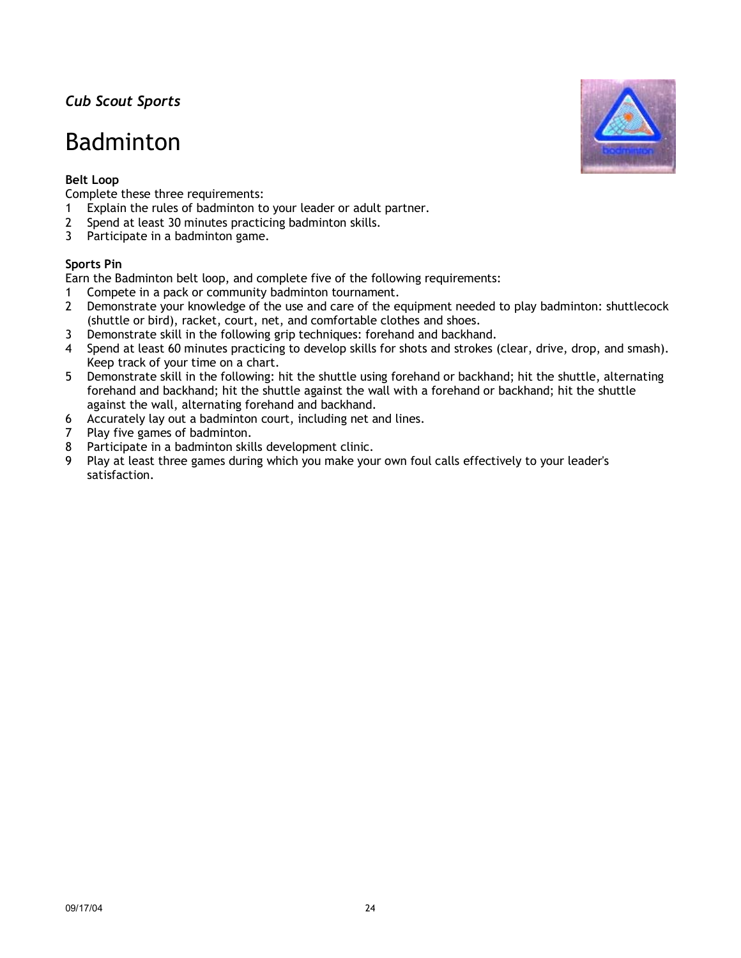## Badminton

## **Belt Loop**

Complete these three requirements:

- 1 Explain the rules of badminton to your leader or adult partner.
- 2 Spend at least 30 minutes practicing badminton skills.
- 3 Participate in a badminton game.

### **Sports Pin**

Earn the Badminton belt loop, and complete five of the following requirements:

- 1 Compete in a pack or community badminton tournament.
- 2 Demonstrate your knowledge of the use and care of the equipment needed to play badminton: shuttlecock (shuttle or bird), racket, court, net, and comfortable clothes and shoes.
- 3 Demonstrate skill in the following grip techniques: forehand and backhand.
- 4 Spend at least 60 minutes practicing to develop skills for shots and strokes (clear, drive, drop, and smash). Keep track of your time on a chart.
- 5 Demonstrate skill in the following: hit the shuttle using forehand or backhand; hit the shuttle, alternating forehand and backhand; hit the shuttle against the wall with a forehand or backhand; hit the shuttle against the wall, alternating forehand and backhand.
- 6 Accurately lay out a badminton court, including net and lines.
- 7 Play five games of badminton.
- 8 Participate in a badminton skills development clinic.
- 9 Play at least three games during which you make your own foul calls effectively to your leader's satisfaction.

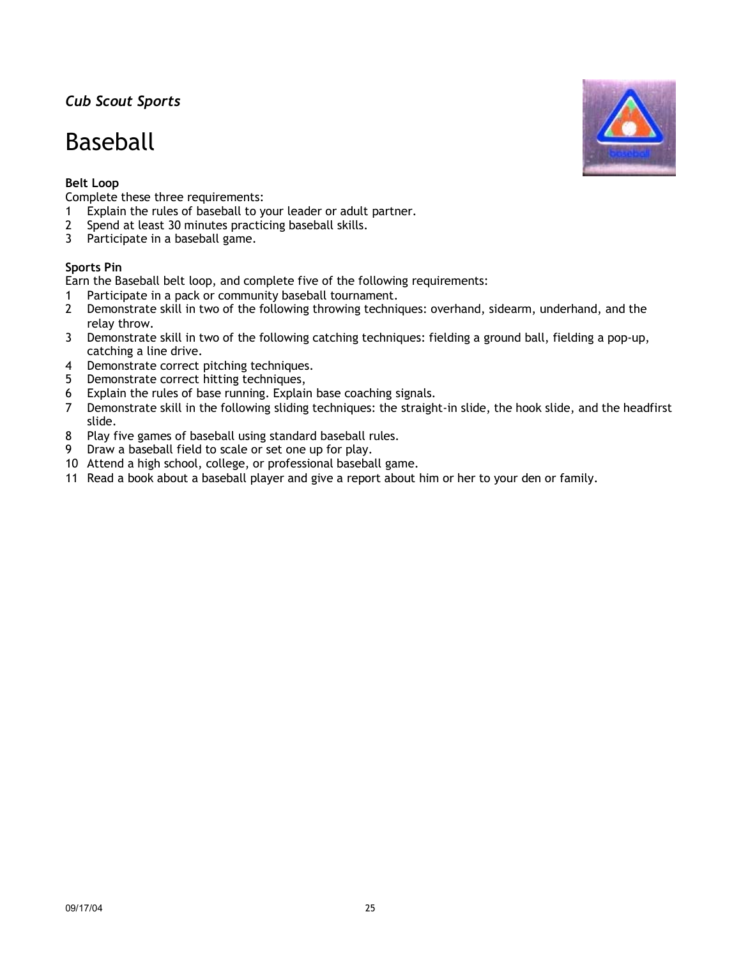## Baseball

## **Belt Loop**

Complete these three requirements:

- 1 Explain the rules of baseball to your leader or adult partner.
- 2 Spend at least 30 minutes practicing baseball skills.
- 3 Participate in a baseball game.

## **Sports Pin**

Earn the Baseball belt loop, and complete five of the following requirements:

- 1 Participate in a pack or community baseball tournament.
- 2 Demonstrate skill in two of the following throwing techniques: overhand, sidearm, underhand, and the relay throw.
- 3 Demonstrate skill in two of the following catching techniques: fielding a ground ball, fielding a pop-up, catching a line drive.
- 4 Demonstrate correct pitching techniques.
- 5 Demonstrate correct hitting techniques,
- 6 Explain the rules of base running. Explain base coaching signals.
- 7 Demonstrate skill in the following sliding techniques: the straight-in slide, the hook slide, and the headfirst slide.
- 8 Play five games of baseball using standard baseball rules.
- 9 Draw a baseball field to scale or set one up for play.
- 10 Attend a high school, college, or professional baseball game.
- 11 Read a book about a baseball player and give a report about him or her to your den or family.

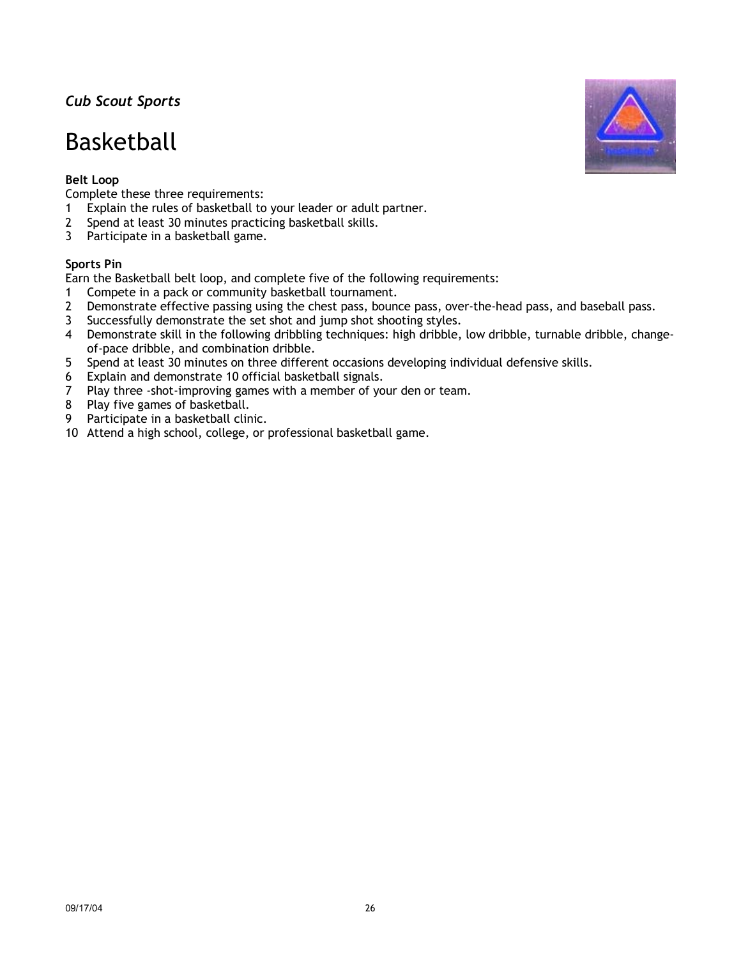## Basketball

## **Belt Loop**

Complete these three requirements:

- 1 Explain the rules of basketball to your leader or adult partner.
- 2 Spend at least 30 minutes practicing basketball skills.
- 3 Participate in a basketball game.

### **Sports Pin**

Earn the Basketball belt loop, and complete five of the following requirements:

- 1 Compete in a pack or community basketball tournament.
- 2 Demonstrate effective passing using the chest pass, bounce pass, over-the-head pass, and baseball pass.
- 3 Successfully demonstrate the set shot and jump shot shooting styles.
- 4 Demonstrate skill in the following dribbling techniques: high dribble, low dribble, turnable dribble, changeof-pace dribble, and combination dribble.
- 5 Spend at least 30 minutes on three different occasions developing individual defensive skills.
- 6 Explain and demonstrate 10 official basketball signals.
- 7 Play three -shot-improving games with a member of your den or team.
- 8 Play five games of basketball.
- 9 Participate in a basketball clinic.
- 10 Attend a high school, college, or professional basketball game.

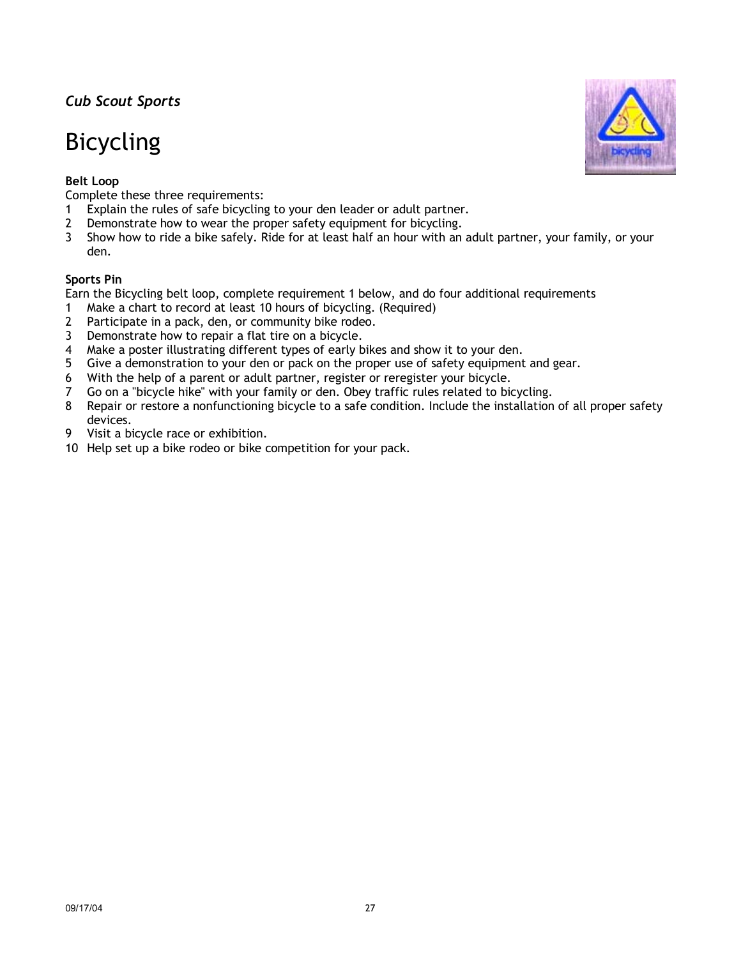# Bicycling

### **Belt Loop**

Complete these three requirements:

- 1 Explain the rules of safe bicycling to your den leader or adult partner.
- 2 Demonstrate how to wear the proper safety equipment for bicycling.
- 3 Show how to ride a bike safely. Ride for at least half an hour with an adult partner, your family, or your den.

#### **Sports Pin**

Earn the Bicycling belt loop, complete requirement 1 below, and do four additional requirements

- 1 Make a chart to record at least 10 hours of bicycling. (Required)
- 2 Participate in a pack, den, or community bike rodeo.
- 3 Demonstrate how to repair a flat tire on a bicycle.
- 4 Make a poster illustrating different types of early bikes and show it to your den.
- 5 Give a demonstration to your den or pack on the proper use of safety equipment and gear.
- 6 With the help of a parent or adult partner, register or reregister your bicycle.
- 7 Go on a "bicycle hike" with your family or den. Obey traffic rules related to bicycling.
- 8 Repair or restore a nonfunctioning bicycle to a safe condition. Include the installation of all proper safety devices.
- 9 Visit a bicycle race or exhibition.
- 10 Help set up a bike rodeo or bike competition for your pack.

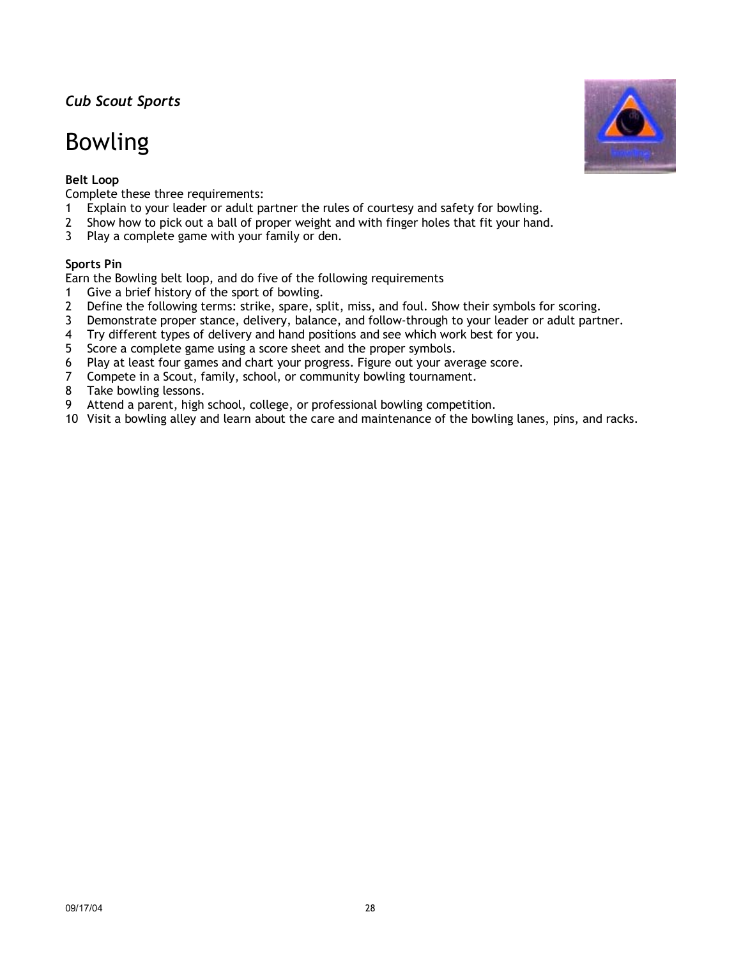# Bowling

## **Belt Loop**

Complete these three requirements:

- 1 Explain to your leader or adult partner the rules of courtesy and safety for bowling.
- 2 Show how to pick out a ball of proper weight and with finger holes that fit your hand.
- 3 Play a complete game with your family or den.

### **Sports Pin**

Earn the Bowling belt loop, and do five of the following requirements

- 1 Give a brief history of the sport of bowling.
- 2 Define the following terms: strike, spare, split, miss, and foul. Show their symbols for scoring.
- 3 Demonstrate proper stance, delivery, balance, and follow-through to your leader or adult partner.
- 4 Try different types of delivery and hand positions and see which work best for you.
- 5 Score a complete game using a score sheet and the proper symbols.
- 6 Play at least four games and chart your progress. Figure out your average score.
- 7 Compete in a Scout, family, school, or community bowling tournament.
- 8 Take bowling lessons.
- 9 Attend a parent, high school, college, or professional bowling competition.
- 10 Visit a bowling alley and learn about the care and maintenance of the bowling lanes, pins, and racks.

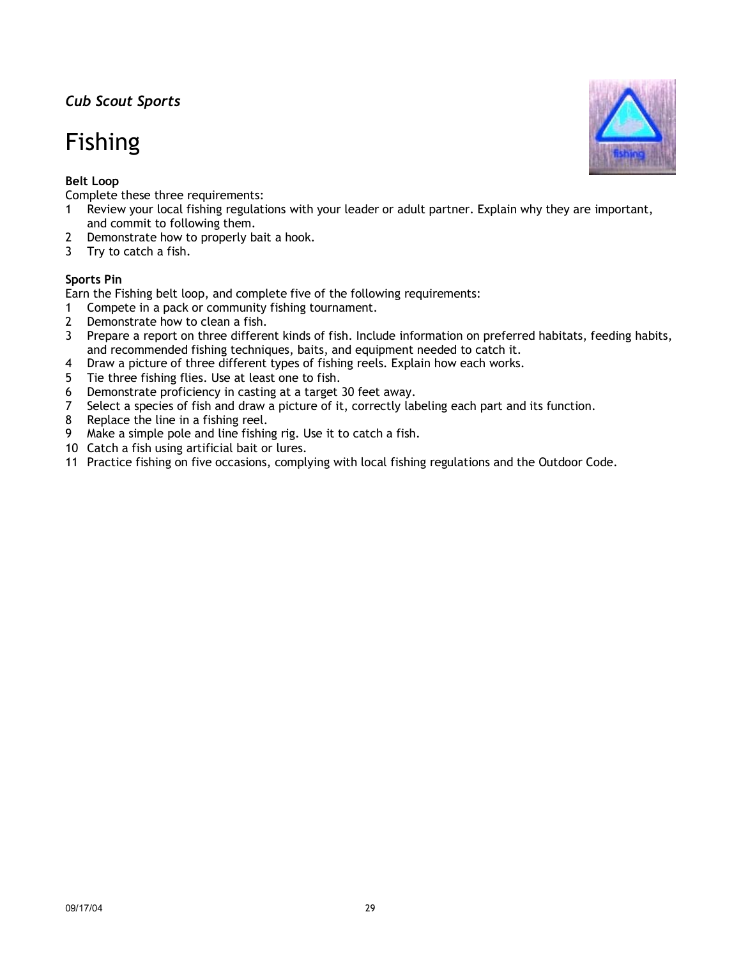# Fishing

## **Belt Loop**

Complete these three requirements:

- 1 Review your local fishing regulations with your leader or adult partner. Explain why they are important, and commit to following them.
- 2 Demonstrate how to properly bait a hook.
- 3 Try to catch a fish.

### **Sports Pin**

Earn the Fishing belt loop, and complete five of the following requirements:

- 1 Compete in a pack or community fishing tournament.
- 2 Demonstrate how to clean a fish.
- 3 Prepare a report on three different kinds of fish. Include information on preferred habitats, feeding habits, and recommended fishing techniques, baits, and equipment needed to catch it.
- 4 Draw a picture of three different types of fishing reels. Explain how each works.
- 5 Tie three fishing flies. Use at least one to fish.
- 6 Demonstrate proficiency in casting at a target 30 feet away.
- 7 Select a species of fish and draw a picture of it, correctly labeling each part and its function.
- 8 Replace the line in a fishing reel.
- 9 Make a simple pole and line fishing rig. Use it to catch a fish.
- 10 Catch a fish using artificial bait or lures.
- 11 Practice fishing on five occasions, complying with local fishing regulations and the Outdoor Code.

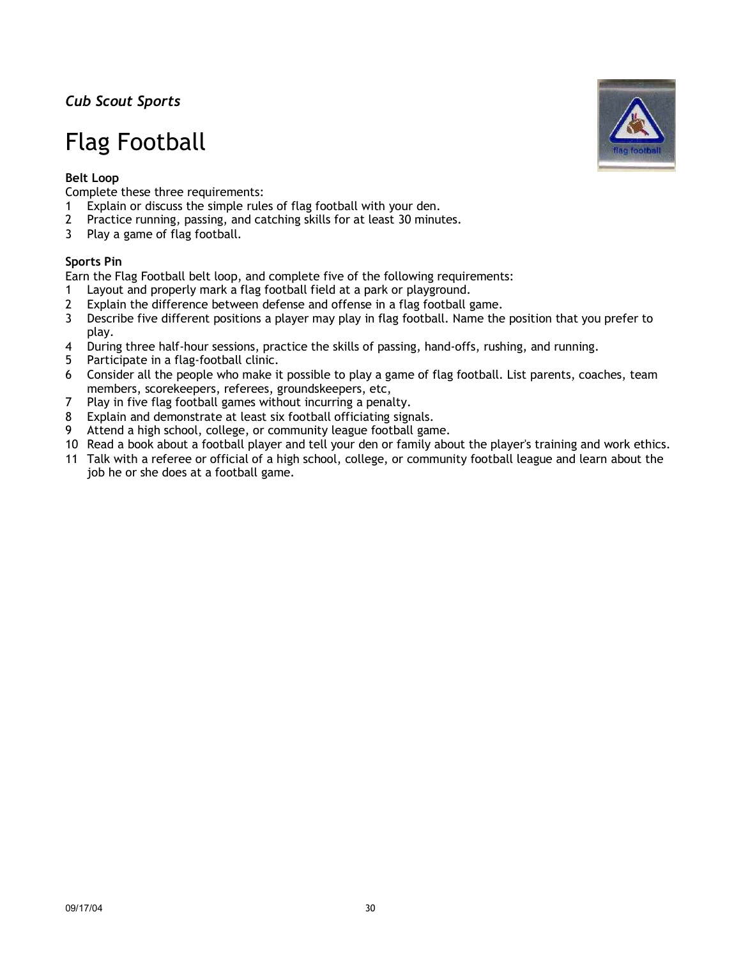# Flag Football

## **Belt Loop**

Complete these three requirements:

- 1 Explain or discuss the simple rules of flag football with your den.
- 2 Practice running, passing, and catching skills for at least 30 minutes.
- 3 Play a game of flag football.

### **Sports Pin**

Earn the Flag Football belt loop, and complete five of the following requirements:

- 1 Layout and properly mark a flag football field at a park or playground.
- 2 Explain the difference between defense and offense in a flag football game.
- 3 Describe five different positions a player may play in flag football. Name the position that you prefer to play.
- 4 During three half-hour sessions, practice the skills of passing, hand-offs, rushing, and running.
- 5 Participate in a flag-football clinic.
- 6 Consider all the people who make it possible to play a game of flag football. List parents, coaches, team members, scorekeepers, referees, groundskeepers, etc,
- 7 Play in five flag football games without incurring a penalty.
- 8 Explain and demonstrate at least six football officiating signals.
- 9 Attend a high school, college, or community league football game.
- 10 Read a book about a football player and tell your den or family about the player's training and work ethics.
- 11 Talk with a referee or official of a high school, college, or community football league and learn about the job he or she does at a football game.

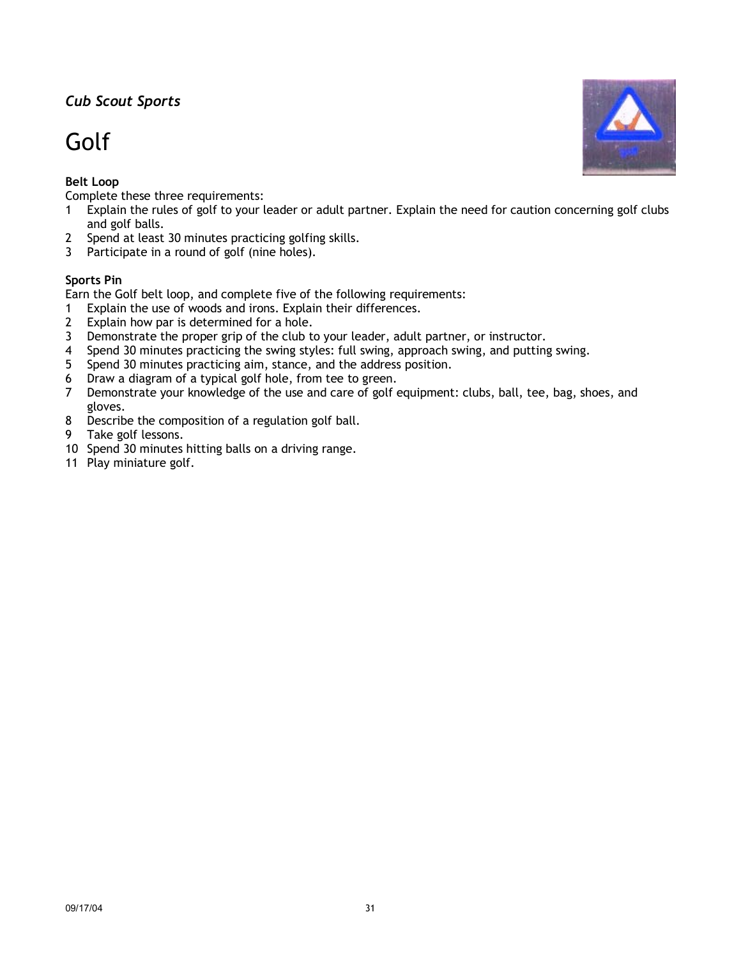# Golf

## **Belt Loop**

Complete these three requirements:

- 1 Explain the rules of golf to your leader or adult partner. Explain the need for caution concerning golf clubs and golf balls.
- 2 Spend at least 30 minutes practicing golfing skills.
- 3 Participate in a round of golf (nine holes).

### **Sports Pin**

Earn the Golf belt loop, and complete five of the following requirements:

- 1 Explain the use of woods and irons. Explain their differences.
- 2 Explain how par is determined for a hole.
- 3 Demonstrate the proper grip of the club to your leader, adult partner, or instructor.
- 4 Spend 30 minutes practicing the swing styles: full swing, approach swing, and putting swing.
- 5 Spend 30 minutes practicing aim, stance, and the address position.
- 6 Draw a diagram of a typical golf hole, from tee to green.
- 7 Demonstrate your knowledge of the use and care of golf equipment: clubs, ball, tee, bag, shoes, and gloves.
- 8 Describe the composition of a regulation golf ball.
- 9 Take golf lessons.
- 10 Spend 30 minutes hitting balls on a driving range.
- 11 Play miniature golf.

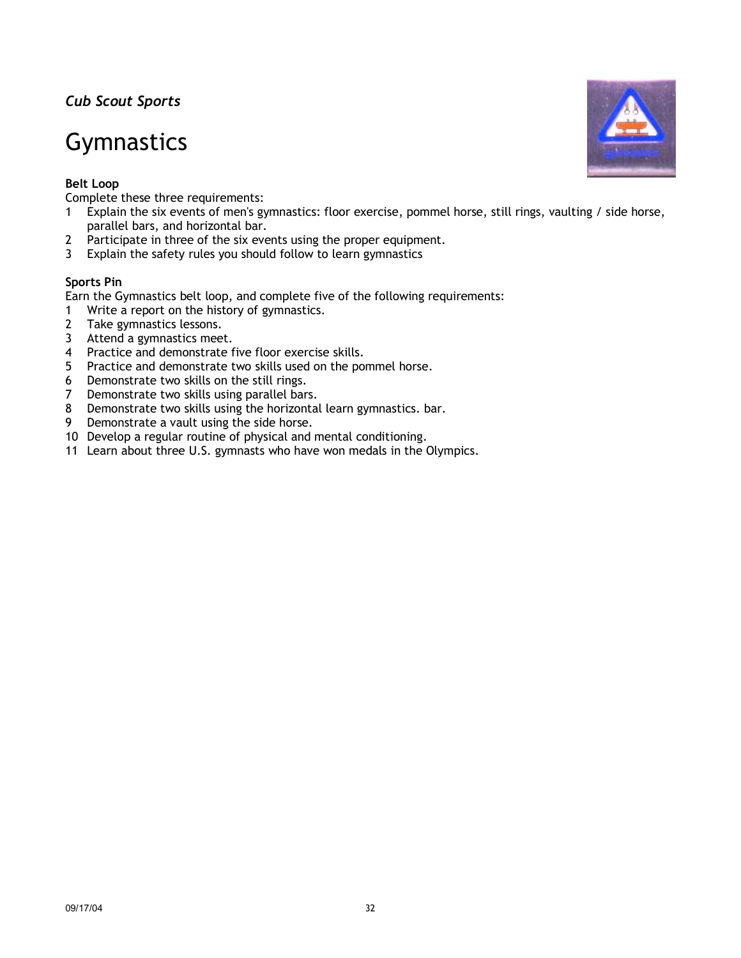## **Gymnastics**

## **Belt Loop**

Complete these three requirements:

- 1 Explain the six events of men's gymnastics: floor exercise, pommel horse, still rings, vaulting / side horse, parallel bars, and horizontal bar.
- 2 Participate in three of the six events using the proper equipment.
- 3 Explain the safety rules you should follow to learn gymnastics

### **Sports Pin**

Earn the Gymnastics belt loop, and complete five of the following requirements:

- 1 Write a report on the history of gymnastics.
- 2 Take gymnastics lessons.
- 3 Attend a gymnastics meet.
- 4 Practice and demonstrate five floor exercise skills.
- 5 Practice and demonstrate two skills used on the pommel horse.
- 6 Demonstrate two skills on the still rings.
- 7 Demonstrate two skills using parallel bars.
- 8 Demonstrate two skills using the horizontal learn gymnastics. bar.
- 9 Demonstrate a vault using the side horse.
- 10 Develop a regular routine of physical and mental conditioning.
- 11 Learn about three U.S. gymnasts who have won medals in the Olympics.

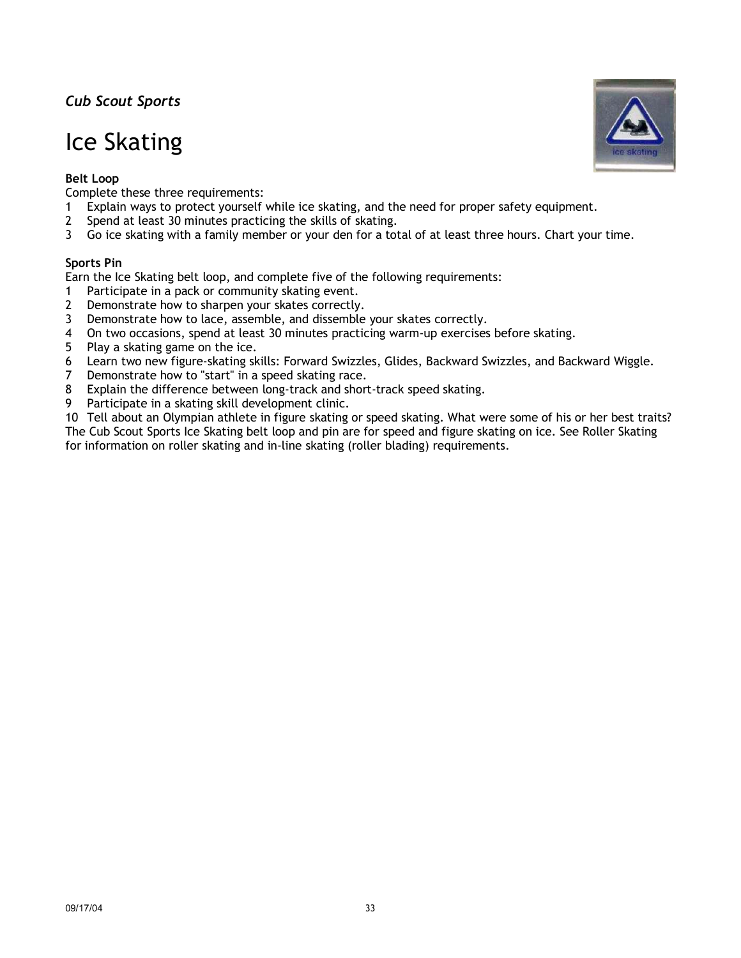# Ice Skating

### **Belt Loop**

Complete these three requirements:

- 1 Explain ways to protect yourself while ice skating, and the need for proper safety equipment.
- 2 Spend at least 30 minutes practicing the skills of skating.
- 3 Go ice skating with a family member or your den for a total of at least three hours. Chart your time.

### **Sports Pin**

Earn the Ice Skating belt loop, and complete five of the following requirements:

- 1 Participate in a pack or community skating event.
- 2 Demonstrate how to sharpen your skates correctly.
- 3 Demonstrate how to lace, assemble, and dissemble your skates correctly.
- 4 On two occasions, spend at least 30 minutes practicing warm-up exercises before skating.
- 5 Play a skating game on the ice.
- 6 Learn two new figure-skating skills: Forward Swizzles, Glides, Backward Swizzles, and Backward Wiggle.
- 7 Demonstrate how to "start" in a speed skating race.
- 8 Explain the difference between long-track and short-track speed skating.
- 9 Participate in a skating skill development clinic.

10 Tell about an Olympian athlete in figure skating or speed skating. What were some of his or her best traits? The Cub Scout Sports Ice Skating belt loop and pin are for speed and figure skating on ice. See Roller Skating for information on roller skating and in-line skating (roller blading) requirements.

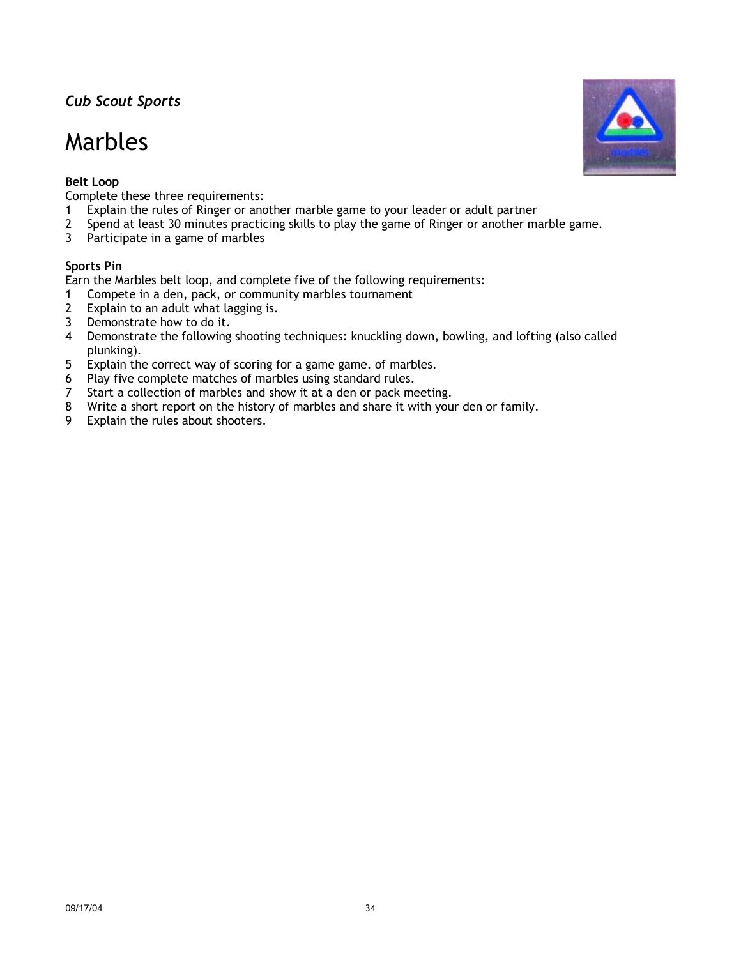## Marbles

### **Belt Loop**

Complete these three requirements:

- 1 Explain the rules of Ringer or another marble game to your leader or adult partner
- 2 Spend at least 30 minutes practicing skills to play the game of Ringer or another marble game.
- 3 Participate in a game of marbles

### **Sports Pin**

Earn the Marbles belt loop, and complete five of the following requirements:

- 1 Compete in a den, pack, or community marbles tournament
- 2 Explain to an adult what lagging is.
- 3 Demonstrate how to do it.
- 4 Demonstrate the following shooting techniques: knuckling down, bowling, and lofting (also called plunking).
- 5 Explain the correct way of scoring for a game game. of marbles.
- 6 Play five complete matches of marbles using standard rules.
- 7 Start a collection of marbles and show it at a den or pack meeting.
- 8 Write a short report on the history of marbles and share it with your den or family.
- 9 Explain the rules about shooters.

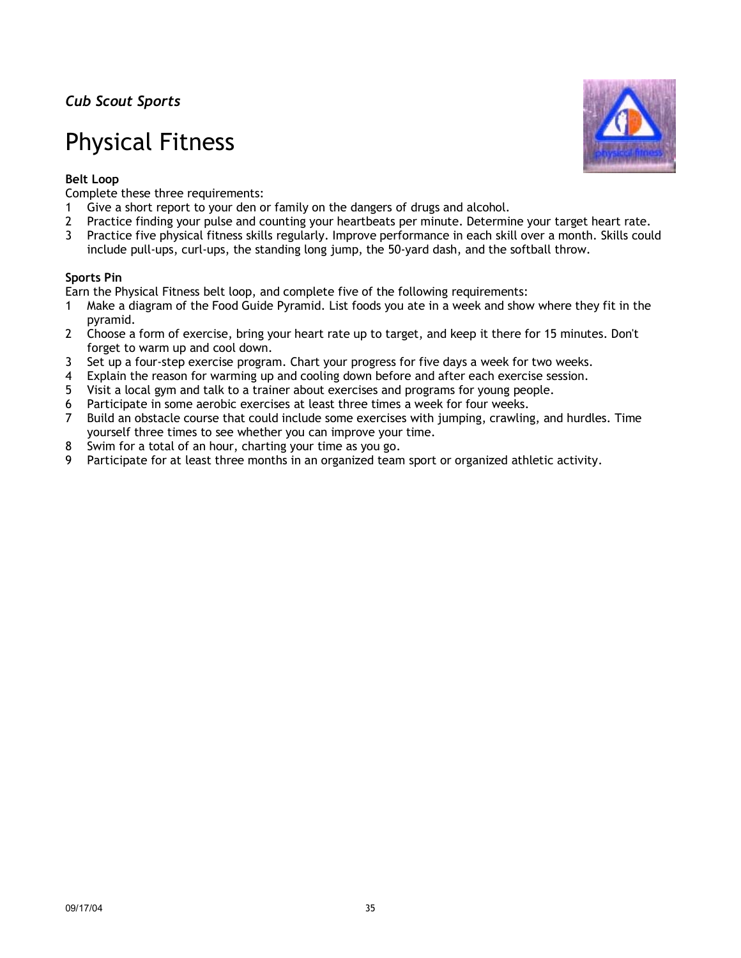## Physical Fitness



## **Belt Loop**

Complete these three requirements:

- 1 Give a short report to your den or family on the dangers of drugs and alcohol.
- 2 Practice finding your pulse and counting your heartbeats per minute. Determine your target heart rate.
- 3 Practice five physical fitness skills regularly. Improve performance in each skill over a month. Skills could include pull-ups, curl-ups, the standing long jump, the 50-yard dash, and the softball throw.

### **Sports Pin**

Earn the Physical Fitness belt loop, and complete five of the following requirements:

- 1 Make a diagram of the Food Guide Pyramid. List foods you ate in a week and show where they fit in the pyramid.
- 2 Choose a form of exercise, bring your heart rate up to target, and keep it there for 15 minutes. Don't forget to warm up and cool down.
- 3 Set up a four-step exercise program. Chart your progress for five days a week for two weeks.
- 4 Explain the reason for warming up and cooling down before and after each exercise session.
- 5 Visit a local gym and talk to a trainer about exercises and programs for young people.
- 6 Participate in some aerobic exercises at least three times a week for four weeks.
- 7 Build an obstacle course that could include some exercises with jumping, crawling, and hurdles. Time yourself three times to see whether you can improve your time.
- 8 Swim for a total of an hour, charting your time as you go.
- 9 Participate for at least three months in an organized team sport or organized athletic activity.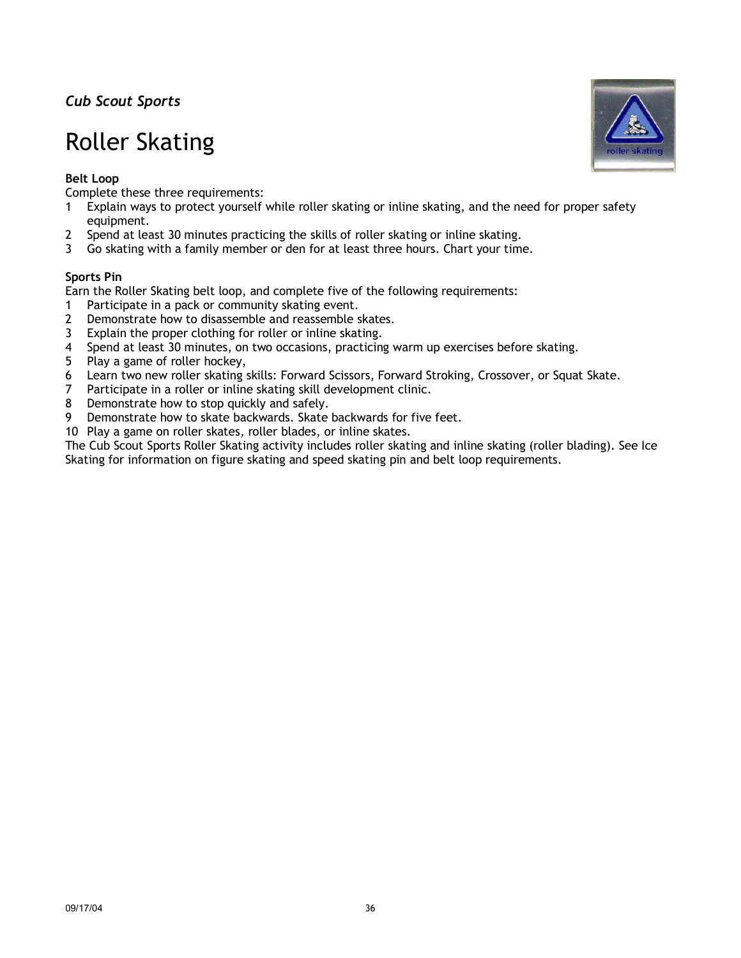# Roller Skating

## **Belt Loop**

Complete these three requirements:

- 1 Explain ways to protect yourself while roller skating or inline skating, and the need for proper safety equipment.
- 2 Spend at least 30 minutes practicing the skills of roller skating or inline skating.
- 3 Go skating with a family member or den for at least three hours. Chart your time.

### **Sports Pin**

Earn the Roller Skating belt loop, and complete five of the following requirements:

- 1 Participate in a pack or community skating event.
- 2 Demonstrate how to disassemble and reassemble skates.
- 3 Explain the proper clothing for roller or inline skating.
- 4 Spend at least 30 minutes, on two occasions, practicing warm up exercises before skating.
- 5 Play a game of roller hockey,
- 6 Learn two new roller skating skills: Forward Scissors, Forward Stroking, Crossover, or Squat Skate.
- 7 Participate in a roller or inline skating skill development clinic.
- 8 Demonstrate how to stop quickly and safely.
- 9 Demonstrate how to skate backwards. Skate backwards for five feet.
- 10 Play a game on roller skates, roller blades, or inline skates.

The Cub Scout Sports Roller Skating activity includes roller skating and inline skating (roller blading). See Ice Skating for information on figure skating and speed skating pin and belt loop requirements.

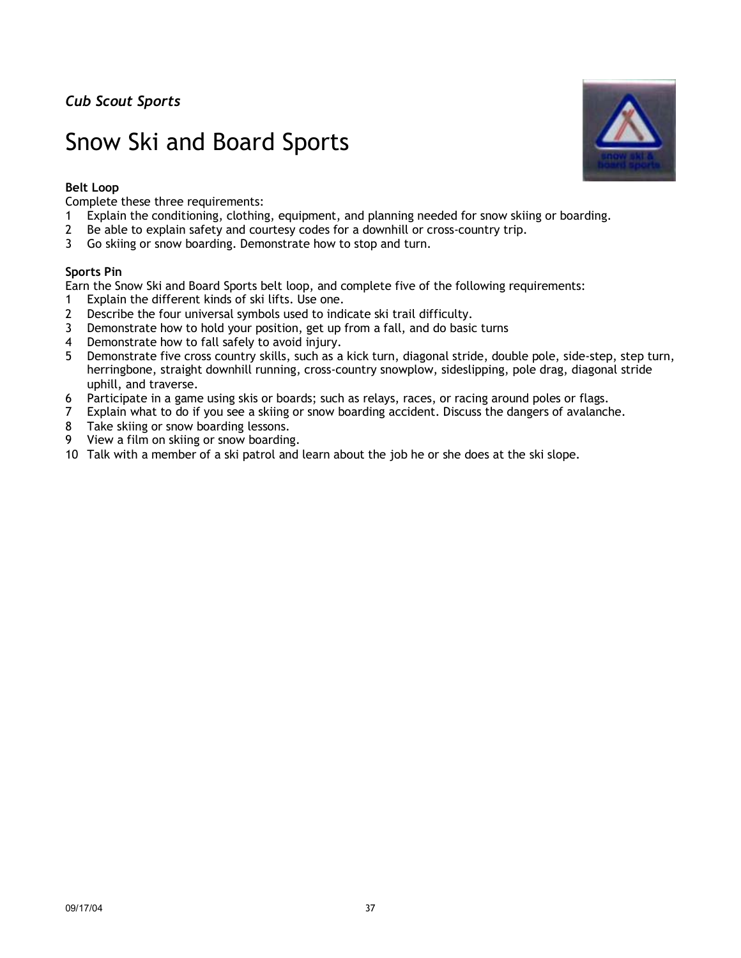# Snow Ski and Board Sports

### **Belt Loop**

Complete these three requirements:

- 1 Explain the conditioning, clothing, equipment, and planning needed for snow skiing or boarding.
- 2 Be able to explain safety and courtesy codes for a downhill or cross-country trip.
- 3 Go skiing or snow boarding. Demonstrate how to stop and turn.

### **Sports Pin**

Earn the Snow Ski and Board Sports belt loop, and complete five of the following requirements:

- 1 Explain the different kinds of ski lifts. Use one.
- 2 Describe the four universal symbols used to indicate ski trail difficulty.
- 3 Demonstrate how to hold your position, get up from a fall, and do basic turns
- 4 Demonstrate how to fall safely to avoid injury.
- 5 Demonstrate five cross country skills, such as a kick turn, diagonal stride, double pole, side-step, step turn, herringbone, straight downhill running, cross-country snowplow, sideslipping, pole drag, diagonal stride uphill, and traverse.
- 6 Participate in a game using skis or boards; such as relays, races, or racing around poles or flags.
- 7 Explain what to do if you see a skiing or snow boarding accident. Discuss the dangers of avalanche.
- 8 Take skiing or snow boarding lessons.
- 9 View a film on skiing or snow boarding.
- 10 Talk with a member of a ski patrol and learn about the job he or she does at the ski slope.

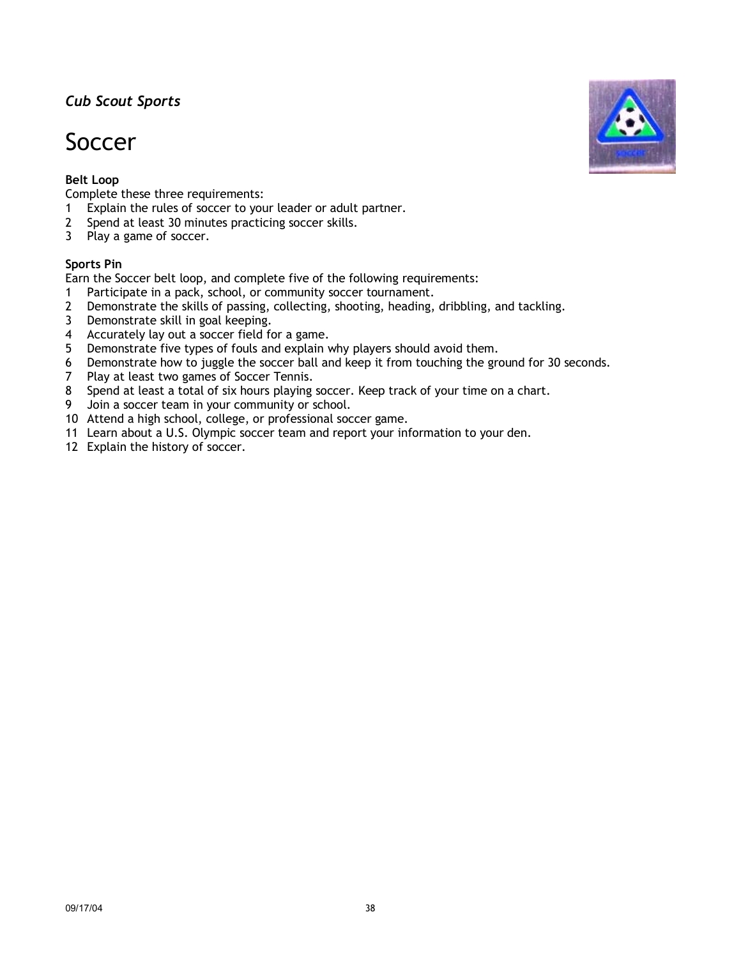## Soccer

## **Belt Loop**

Complete these three requirements:

- 1 Explain the rules of soccer to your leader or adult partner.
- 2 Spend at least 30 minutes practicing soccer skills.
- 3 Play a game of soccer.

### **Sports Pin**

Earn the Soccer belt loop, and complete five of the following requirements:

- 1 Participate in a pack, school, or community soccer tournament.
- 2 Demonstrate the skills of passing, collecting, shooting, heading, dribbling, and tackling.
- 3 Demonstrate skill in goal keeping.
- 4 Accurately lay out a soccer field for a game.
- 5 Demonstrate five types of fouls and explain why players should avoid them.
- 6 Demonstrate how to juggle the soccer ball and keep it from touching the ground for 30 seconds.
- 7 Play at least two games of Soccer Tennis.
- 8 Spend at least a total of six hours playing soccer. Keep track of your time on a chart.
- 9 Join a soccer team in your community or school.
- 10 Attend a high school, college, or professional soccer game.
- 11 Learn about a U.S. Olympic soccer team and report your information to your den.
- 12 Explain the history of soccer.

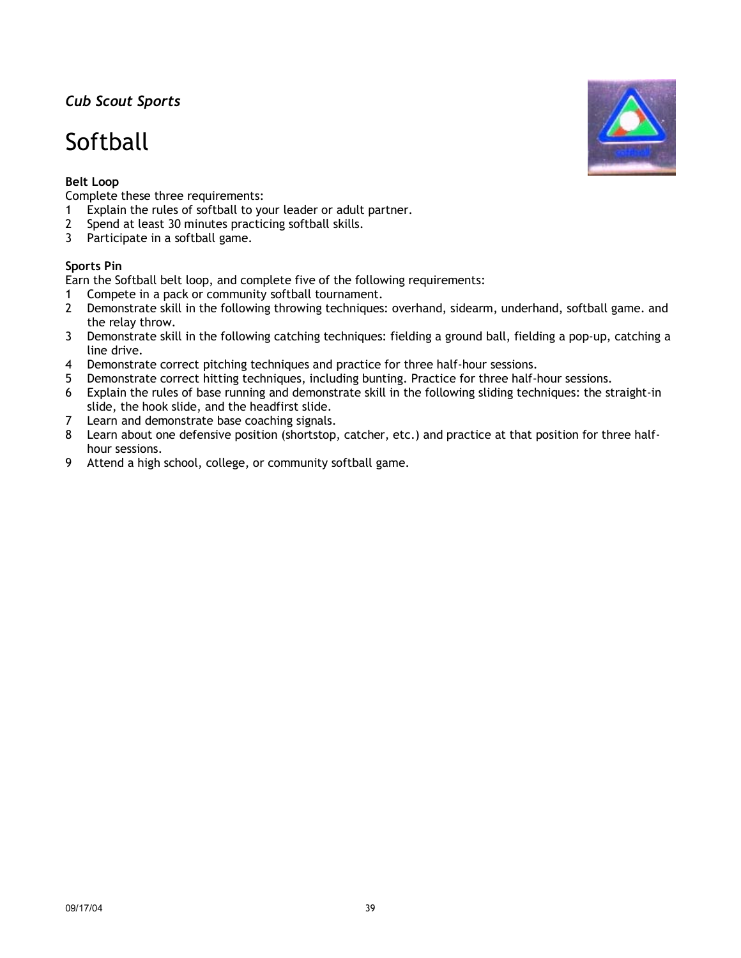# Softball

## **Belt Loop**

Complete these three requirements:

- 1 Explain the rules of softball to your leader or adult partner.
- 2 Spend at least 30 minutes practicing softball skills.
- 3 Participate in a softball game.

## **Sports Pin**

Earn the Softball belt loop, and complete five of the following requirements:

- 1 Compete in a pack or community softball tournament.
- 2 Demonstrate skill in the following throwing techniques: overhand, sidearm, underhand, softball game. and the relay throw.
- 3 Demonstrate skill in the following catching techniques: fielding a ground ball, fielding a pop-up, catching a line drive.
- 4 Demonstrate correct pitching techniques and practice for three half-hour sessions.<br>5 Demonstrate correct hitting techniques, including bunting. Practice for three half-
- Demonstrate correct hitting techniques, including bunting. Practice for three half-hour sessions.
- 6 Explain the rules of base running and demonstrate skill in the following sliding techniques: the straight-in slide, the hook slide, and the headfirst slide.
- 7 Learn and demonstrate base coaching signals.
- 8 Learn about one defensive position (shortstop, catcher, etc.) and practice at that position for three halfhour sessions.
- 9 Attend a high school, college, or community softball game.

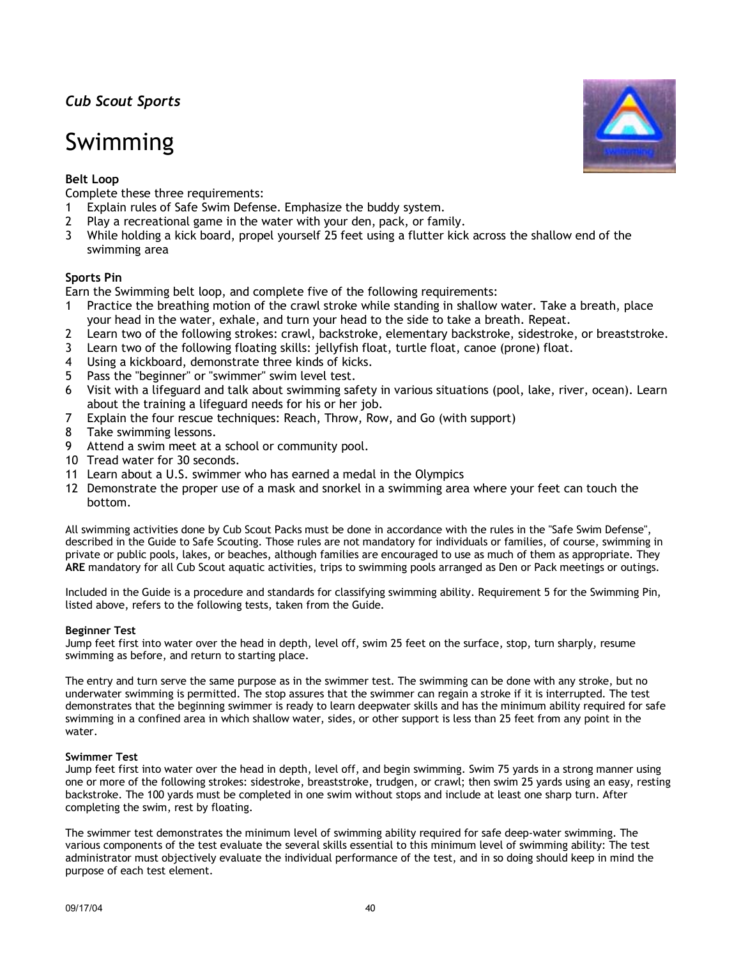# Swimming

## **Belt Loop**

Complete these three requirements:

- 1 Explain rules of Safe Swim Defense. Emphasize the buddy system.
- 2 Play a recreational game in the water with your den, pack, or family.
- 3 While holding a kick board, propel yourself 25 feet using a flutter kick across the shallow end of the swimming area

#### **Sports Pin**

Earn the Swimming belt loop, and complete five of the following requirements:

- 1 Practice the breathing motion of the crawl stroke while standing in shallow water. Take a breath, place your head in the water, exhale, and turn your head to the side to take a breath. Repeat.
- 2 Learn two of the following strokes: crawl, backstroke, elementary backstroke, sidestroke, or breaststroke.
- 3 Learn two of the following floating skills: jellyfish float, turtle float, canoe (prone) float.
- 4 Using a kickboard, demonstrate three kinds of kicks.
- 5 Pass the "beginner" or "swimmer" swim level test.
- 6 Visit with a lifeguard and talk about swimming safety in various situations (pool, lake, river, ocean). Learn about the training a lifeguard needs for his or her job.
- 7 Explain the four rescue techniques: Reach, Throw, Row, and Go (with support)
- 8 Take swimming lessons.
- 9 Attend a swim meet at a school or community pool.
- 10 Tread water for 30 seconds.
- 11 Learn about a U.S. swimmer who has earned a medal in the Olympics
- 12 Demonstrate the proper use of a mask and snorkel in a swimming area where your feet can touch the bottom.

All swimming activities done by Cub Scout Packs must be done in accordance with the rules in the "Safe Swim Defense", described in the Guide to Safe Scouting. Those rules are not mandatory for individuals or families, of course, swimming in private or public pools, lakes, or beaches, although families are encouraged to use as much of them as appropriate. They **ARE** mandatory for all Cub Scout aquatic activities, trips to swimming pools arranged as Den or Pack meetings or outings.

Included in the Guide is a procedure and standards for classifying swimming ability. Requirement 5 for the Swimming Pin, listed above, refers to the following tests, taken from the Guide.

#### **Beginner Test**

Jump feet first into water over the head in depth, level off, swim 25 feet on the surface, stop, turn sharply, resume swimming as before, and return to starting place.

The entry and turn serve the same purpose as in the swimmer test. The swimming can be done with any stroke, but no underwater swimming is permitted. The stop assures that the swimmer can regain a stroke if it is interrupted. The test demonstrates that the beginning swimmer is ready to learn deepwater skills and has the minimum ability required for safe swimming in a confined area in which shallow water, sides, or other support is less than 25 feet from any point in the water.

#### **Swimmer Test**

Jump feet first into water over the head in depth, level off, and begin swimming. Swim 75 yards in a strong manner using one or more of the following strokes: sidestroke, breaststroke, trudgen, or crawl; then swim 25 yards using an easy, resting backstroke. The 100 yards must be completed in one swim without stops and include at least one sharp turn. After completing the swim, rest by floating.

The swimmer test demonstrates the minimum level of swimming ability required for safe deep-water swimming. The various components of the test evaluate the several skills essential to this minimum level of swimming ability: The test administrator must objectively evaluate the individual performance of the test, and in so doing should keep in mind the purpose of each test element.

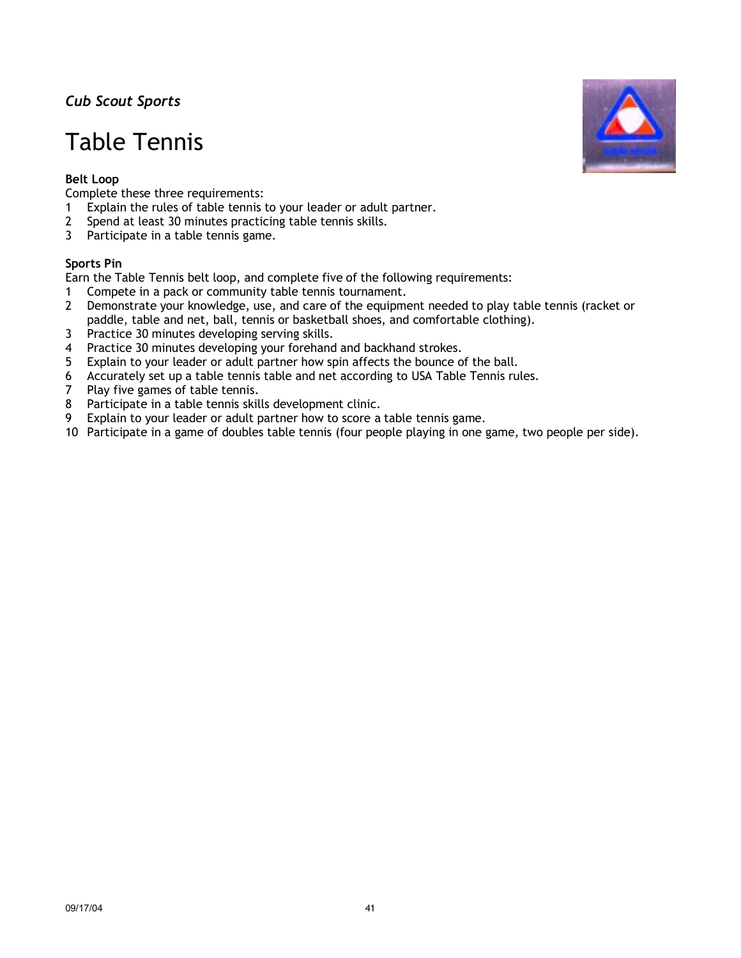# Table Tennis

## **Belt Loop**

Complete these three requirements:

- 1 Explain the rules of table tennis to your leader or adult partner.
- 2 Spend at least 30 minutes practicing table tennis skills.
- 3 Participate in a table tennis game.

### **Sports Pin**

Earn the Table Tennis belt loop, and complete five of the following requirements:

- 1 Compete in a pack or community table tennis tournament.
- 2 Demonstrate your knowledge, use, and care of the equipment needed to play table tennis (racket or paddle, table and net, ball, tennis or basketball shoes, and comfortable clothing).
- 3 Practice 30 minutes developing serving skills.
- 4 Practice 30 minutes developing your forehand and backhand strokes.
- 5 Explain to your leader or adult partner how spin affects the bounce of the ball.
- 6 Accurately set up a table tennis table and net according to USA Table Tennis rules.
- 7 Play five games of table tennis.
- 8 Participate in a table tennis skills development clinic.
- 9 Explain to your leader or adult partner how to score a table tennis game.
- 10 Participate in a game of doubles table tennis (four people playing in one game, two people per side).

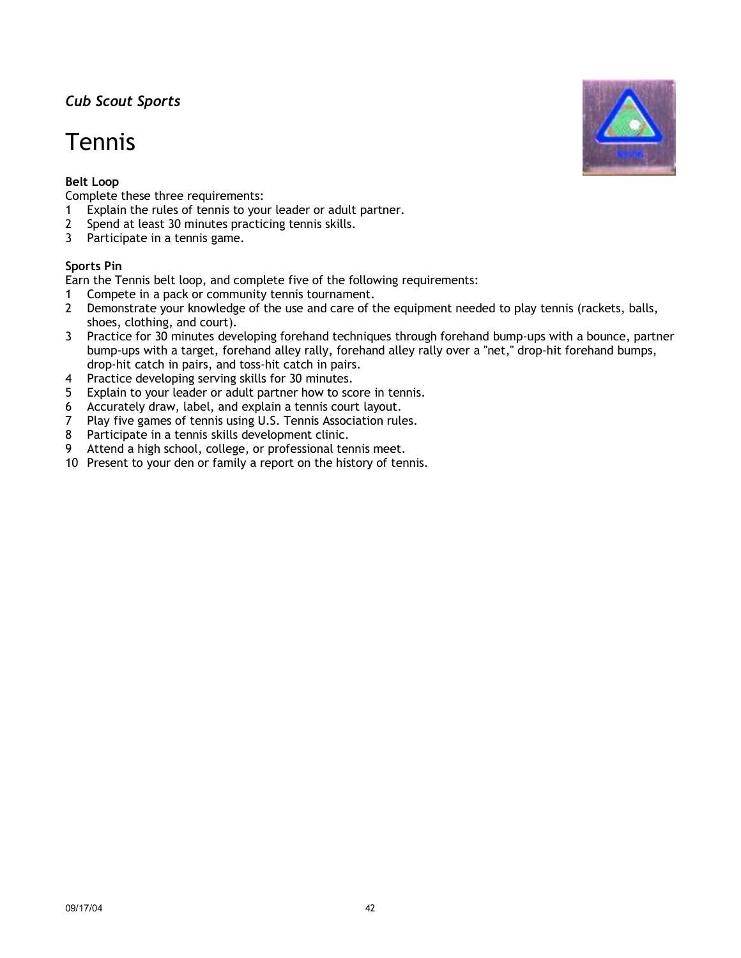# Tennis

## **Belt Loop**

Complete these three requirements:

- 1 Explain the rules of tennis to your leader or adult partner.
- 2 Spend at least 30 minutes practicing tennis skills.
- 3 Participate in a tennis game.

### **Sports Pin**

Earn the Tennis belt loop, and complete five of the following requirements:

- 1 Compete in a pack or community tennis tournament.
- 2 Demonstrate your knowledge of the use and care of the equipment needed to play tennis (rackets, balls, shoes, clothing, and court).
- 3 Practice for 30 minutes developing forehand techniques through forehand bump-ups with a bounce, partner bump-ups with a target, forehand alley rally, forehand alley rally over a "net," drop-hit forehand bumps, drop-hit catch in pairs, and toss-hit catch in pairs.
- 4 Practice developing serving skills for 30 minutes.
- 5 Explain to your leader or adult partner how to score in tennis.
- 6 Accurately draw, label, and explain a tennis court layout.
- 7 Play five games of tennis using U.S. Tennis Association rules.
- 8 Participate in a tennis skills development clinic.
- 9 Attend a high school, college, or professional tennis meet.
- 10 Present to your den or family a report on the history of tennis.

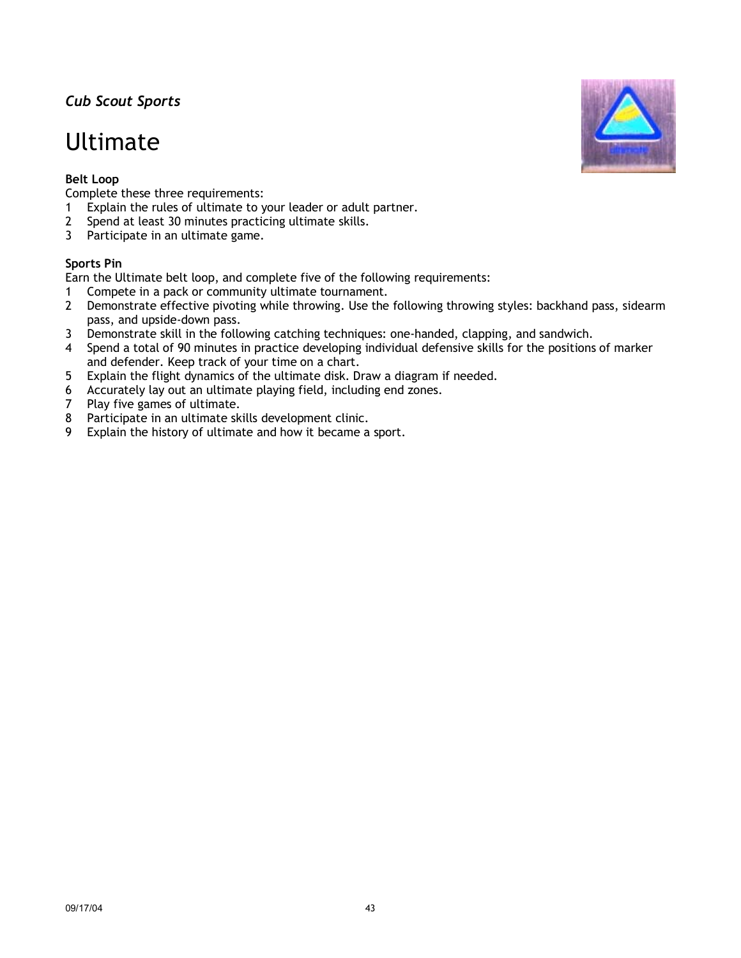## Ultimate

## **Belt Loop**

Complete these three requirements:

- 1 Explain the rules of ultimate to your leader or adult partner.
- 2 Spend at least 30 minutes practicing ultimate skills.
- 3 Participate in an ultimate game.

### **Sports Pin**

Earn the Ultimate belt loop, and complete five of the following requirements:

- 1 Compete in a pack or community ultimate tournament.
- 2 Demonstrate effective pivoting while throwing. Use the following throwing styles: backhand pass, sidearm pass, and upside-down pass.
- 3 Demonstrate skill in the following catching techniques: one-handed, clapping, and sandwich.
- 4 Spend a total of 90 minutes in practice developing individual defensive skills for the positions of marker and defender. Keep track of your time on a chart.
- 5 Explain the flight dynamics of the ultimate disk. Draw a diagram if needed.
- 6 Accurately lay out an ultimate playing field, including end zones.
- 7 Play five games of ultimate.
- 8 Participate in an ultimate skills development clinic.
- 9 Explain the history of ultimate and how it became a sport.